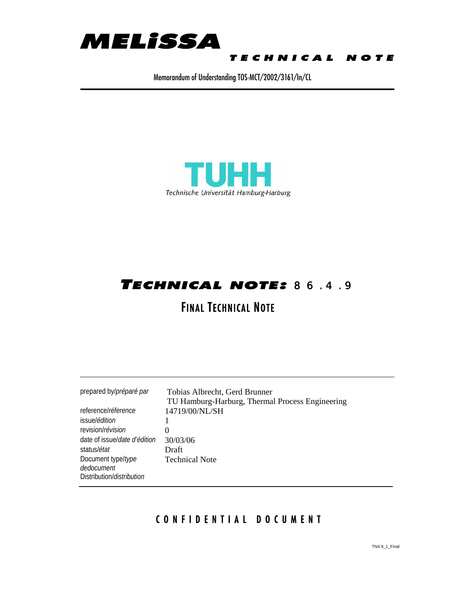

#### TECHNICAL NOTE

Memorandum of Understanding TOS-MCT/2002/3161/In/CL



# TECHNICAL NOTE: 86.4.9

# FINAL TECHNICAL NOTE

| prepared by/préparé par       | Tobias Albrecht, Gerd Brunner<br>TU Hamburg-Harburg, Thermal Process Engineering |
|-------------------------------|----------------------------------------------------------------------------------|
| reference/réference           | 14719/00/NL/SH                                                                   |
| issue/ <i>édition</i>         |                                                                                  |
| revision/révision             | $\theta$                                                                         |
| date of issuel date d'édition | 30/03/06                                                                         |
| status/ <i>état</i>           | Draft                                                                            |
| Document type/type            | Technical Note                                                                   |
| dedocument                    |                                                                                  |
| Distribution/distribution     |                                                                                  |

## CONFIDENTIAL DOCUMENT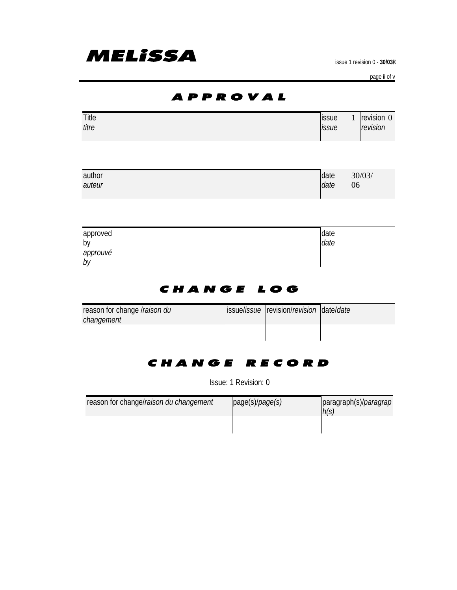issue 1 revision 0 - **30/03/0**

page ii of v

### APPROVAL

| Title | <i><b>ISSUE</b></i> | revision 0 |
|-------|---------------------|------------|
| titre | issue               | revision   |
|       |                     |            |

| author | date | 30/03/ |
|--------|------|--------|
| auteur | date | 06     |
|        |      |        |

| approved       | date |
|----------------|------|
| by             | date |
| approuvé<br>by |      |

### CHANGE LOG

| reason for change <i>Iraison du</i> | ssuelissue revision/revision date/date |  |
|-------------------------------------|----------------------------------------|--|
| changement                          |                                        |  |
|                                     |                                        |  |
|                                     |                                        |  |

### CHANGE RECORD

Issue: 1 Revision: 0

| reason for change/raison du changement | page(s)/page(s) | paragraph(s)/ <i>paragrap</i><br>h(s) |
|----------------------------------------|-----------------|---------------------------------------|
|                                        |                 |                                       |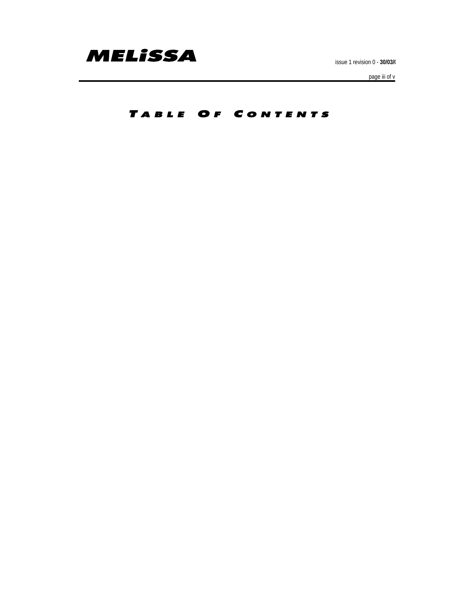issue 1 revision 0 - **30/03/0**

page iii of v

#### TABLE OF CONTENTS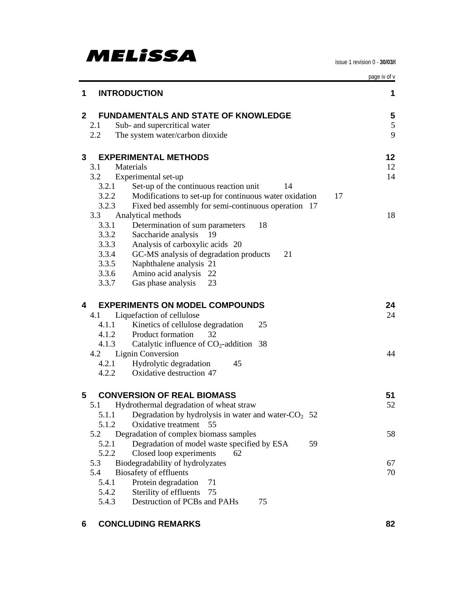**MELISSA** 

issue 1 revision 0 - **30/03/0**

| page iv of v |  |  |
|--------------|--|--|
|              |  |  |

| 1            | <b>INTRODUCTION</b>                                                                                                                                                                                                                                                                                                                                                                                                                                                                                                                                                                                                | $\mathbf{1}$                      |
|--------------|--------------------------------------------------------------------------------------------------------------------------------------------------------------------------------------------------------------------------------------------------------------------------------------------------------------------------------------------------------------------------------------------------------------------------------------------------------------------------------------------------------------------------------------------------------------------------------------------------------------------|-----------------------------------|
| $\mathbf{2}$ | <b>FUNDAMENTALS AND STATE OF KNOWLEDGE</b><br>Sub- and supercritical water<br>2.1<br>The system water/carbon dioxide<br>2.2                                                                                                                                                                                                                                                                                                                                                                                                                                                                                        | 5<br>5<br>9                       |
| 3            | <b>EXPERIMENTAL METHODS</b><br>Materials<br>3.1<br>3.2<br>Experimental set-up<br>Set-up of the continuous reaction unit<br>3.2.1<br>14<br>Modifications to set-up for continuous water oxidation<br>3.2.2<br>17<br>3.2.3<br>Fixed bed assembly for semi-continuous operation 17<br>3.3<br>Analytical methods<br>Determination of sum parameters<br>3.3.1<br>18<br>3.3.2<br>Saccharide analysis 19<br>3.3.3<br>Analysis of carboxylic acids 20<br>GC-MS analysis of degradation products<br>3.3.4<br>21<br>Naphthalene analysis 21<br>3.3.5<br>3.3.6<br>Amino acid analysis 22<br>3.3.7<br>Gas phase analysis<br>23 | 12 <sub>2</sub><br>12<br>14<br>18 |
| 4            | <b>EXPERIMENTS ON MODEL COMPOUNDS</b><br>Liquefaction of cellulose<br>4.1<br>4.1.1<br>Kinetics of cellulose degradation<br>25<br>Product formation<br>4.1.2<br>32<br>Catalytic influence of $CO2$ -addition 38<br>4.1.3<br><b>Lignin Conversion</b><br>4.2<br>Hydrolytic degradation<br>4.2.1<br>45<br>Oxidative destruction 47<br>4.2.2                                                                                                                                                                                                                                                                           | 24<br>24<br>44                    |
| 5            | <b>CONVERSION OF REAL BIOMASS</b><br>Hydrothermal degradation of wheat straw<br>5.1<br>Degradation by hydrolysis in water and water-CO <sub>2</sub> 52<br>5.1.1<br>Oxidative treatment 55<br>5.1.2<br>Degradation of complex biomass samples<br>5.2                                                                                                                                                                                                                                                                                                                                                                | 51<br>52<br>58                    |
|              | Degradation of model waste specified by ESA<br>59<br>5.2.1<br>5.2.2<br>Closed loop experiments<br>62<br>Biodegradability of hydrolyzates<br>5.3<br>5.4<br>Biosafety of effluents<br>5.4.1<br>Protein degradation<br>71<br>5.4.2<br>Sterility of effluents<br>75<br>Destruction of PCBs and PAHs<br>5.4.3<br>75                                                                                                                                                                                                                                                                                                     | 67<br>70                          |

#### **6 CONCLUDING REMARKS 82**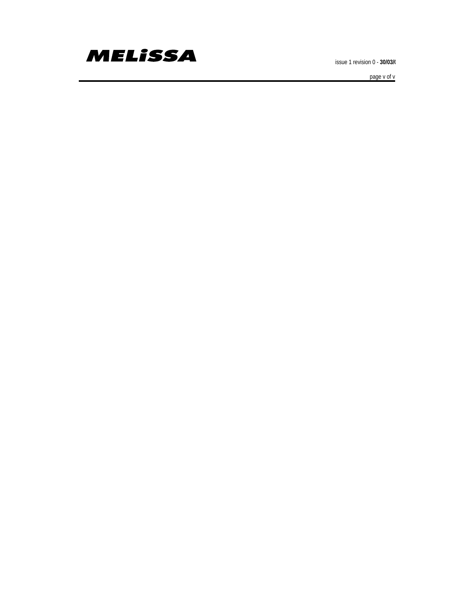

issue 1 revision 0 - **30/03/0**

page v of v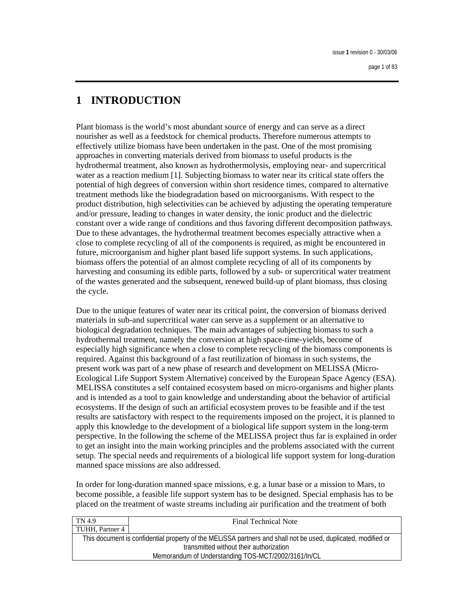## **1 INTRODUCTION**

Plant biomass is the world's most abundant source of energy and can serve as a direct nourisher as well as a feedstock for chemical products. Therefore numerous attempts to effectively utilize biomass have been undertaken in the past. One of the most promising approaches in converting materials derived from biomass to useful products is the hydrothermal treatment, also known as hydrothermolysis, employing near- and supercritical water as a reaction medium [1]. Subjecting biomass to water near its critical state offers the potential of high degrees of conversion within short residence times, compared to alternative treatment methods like the biodegradation based on microorganisms. With respect to the product distribution, high selectivities can be achieved by adjusting the operating temperature and/or pressure, leading to changes in water density, the ionic product and the dielectric constant over a wide range of conditions and thus favoring different decomposition pathways. Due to these advantages, the hydrothermal treatment becomes especially attractive when a close to complete recycling of all of the components is required, as might be encountered in future, microorganism and higher plant based life support systems. In such applications, biomass offers the potential of an almost complete recycling of all of its components by harvesting and consuming its edible parts, followed by a sub- or supercritical water treatment of the wastes generated and the subsequent, renewed build-up of plant biomass, thus closing the cycle.

Due to the unique features of water near its critical point, the conversion of biomass derived materials in sub-and supercritical water can serve as a supplement or an alternative to biological degradation techniques. The main advantages of subjecting biomass to such a hydrothermal treatment, namely the conversion at high space-time-yields, become of especially high significance when a close to complete recycling of the biomass components is required. Against this background of a fast reutilization of biomass in such systems, the present work was part of a new phase of research and development on MELISSA (Micro-Ecological Life Support System Alternative) conceived by the European Space Agency (ESA). MELISSA constitutes a self contained ecosystem based on micro-organisms and higher plants and is intended as a tool to gain knowledge and understanding about the behavior of artificial ecosystems. If the design of such an artificial ecosystem proves to be feasible and if the test results are satisfactory with respect to the requirements imposed on the project, it is planned to apply this knowledge to the development of a biological life support system in the long-term perspective. In the following the scheme of the MELISSA project thus far is explained in order to get an insight into the main working principles and the problems associated with the current setup. The special needs and requirements of a biological life support system for long-duration manned space missions are also addressed.

In order for long-duration manned space missions, e.g. a lunar base or a mission to Mars, to become possible, a feasible life support system has to be designed. Special emphasis has to be placed on the treatment of waste streams including air purification and the treatment of both

| TN 4.9          | Final Technical Note                                                                                          |
|-----------------|---------------------------------------------------------------------------------------------------------------|
| TUHH. Partner 4 |                                                                                                               |
|                 | This document is confidential property of the MELISSA partners and shall not be used, duplicated, modified or |
|                 | transmitted without their authorization                                                                       |
|                 | Memorandum of Understanding TOS-MCT/2002/3161/In/CL                                                           |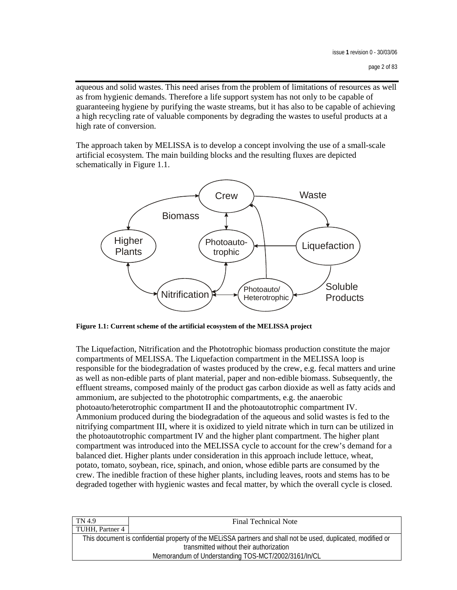aqueous and solid wastes. This need arises from the problem of limitations of resources as well as from hygienic demands. Therefore a life support system has not only to be capable of guaranteeing hygiene by purifying the waste streams, but it has also to be capable of achieving a high recycling rate of valuable components by degrading the wastes to useful products at a high rate of conversion.

The approach taken by MELISSA is to develop a concept involving the use of a small-scale artificial ecosystem. The main building blocks and the resulting fluxes are depicted schematically in Figure 1.1.



**Figure 1.1: Current scheme of the artificial ecosystem of the MELISSA project** 

The Liquefaction, Nitrification and the Phototrophic biomass production constitute the major compartments of MELISSA. The Liquefaction compartment in the MELISSA loop is responsible for the biodegradation of wastes produced by the crew, e.g. fecal matters and urine as well as non-edible parts of plant material, paper and non-edible biomass. Subsequently, the effluent streams, composed mainly of the product gas carbon dioxide as well as fatty acids and ammonium, are subjected to the phototrophic compartments, e.g. the anaerobic photoauto/heterotrophic compartment II and the photoautotrophic compartment IV. Ammonium produced during the biodegradation of the aqueous and solid wastes is fed to the nitrifying compartment III, where it is oxidized to yield nitrate which in turn can be utilized in the photoautotrophic compartment IV and the higher plant compartment. The higher plant compartment was introduced into the MELISSA cycle to account for the crew's demand for a balanced diet. Higher plants under consideration in this approach include lettuce, wheat, potato, tomato, soybean, rice, spinach, and onion, whose edible parts are consumed by the crew. The inedible fraction of these higher plants, including leaves, roots and stems has to be degraded together with hygienic wastes and fecal matter, by which the overall cycle is closed.

| TN 4.9          | Final Technical Note                                                                                          |
|-----------------|---------------------------------------------------------------------------------------------------------------|
| TUHH, Partner 4 |                                                                                                               |
|                 | This document is confidential property of the MELISSA partners and shall not be used, duplicated, modified or |
|                 | transmitted without their authorization                                                                       |
|                 | Memorandum of Understanding TOS-MCT/2002/3161/In/CL                                                           |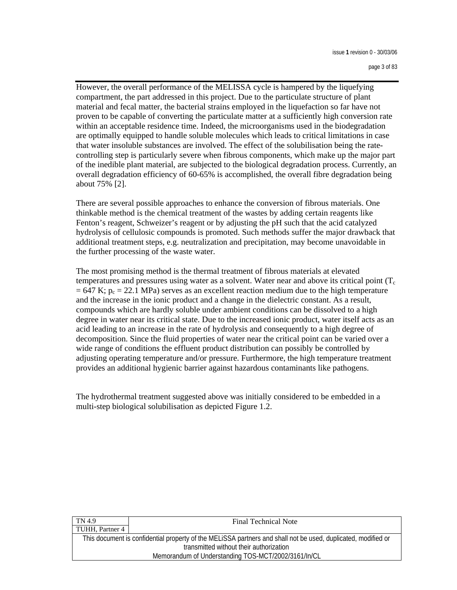However, the overall performance of the MELISSA cycle is hampered by the liquefying compartment, the part addressed in this project. Due to the particulate structure of plant material and fecal matter, the bacterial strains employed in the liquefaction so far have not proven to be capable of converting the particulate matter at a sufficiently high conversion rate within an acceptable residence time. Indeed, the microorganisms used in the biodegradation are optimally equipped to handle soluble molecules which leads to critical limitations in case that water insoluble substances are involved. The effect of the solubilisation being the ratecontrolling step is particularly severe when fibrous components, which make up the major part of the inedible plant material, are subjected to the biological degradation process. Currently, an overall degradation efficiency of 60-65% is accomplished, the overall fibre degradation being about 75% [2].

There are several possible approaches to enhance the conversion of fibrous materials. One thinkable method is the chemical treatment of the wastes by adding certain reagents like Fenton's reagent, Schweizer's reagent or by adjusting the pH such that the acid catalyzed hydrolysis of cellulosic compounds is promoted. Such methods suffer the major drawback that additional treatment steps, e.g. neutralization and precipitation, may become unavoidable in the further processing of the waste water.

The most promising method is the thermal treatment of fibrous materials at elevated temperatures and pressures using water as a solvent. Water near and above its critical point  $(T_c)$  $= 647$  K;  $p_c = 22.1$  MPa) serves as an excellent reaction medium due to the high temperature and the increase in the ionic product and a change in the dielectric constant. As a result, compounds which are hardly soluble under ambient conditions can be dissolved to a high degree in water near its critical state. Due to the increased ionic product, water itself acts as an acid leading to an increase in the rate of hydrolysis and consequently to a high degree of decomposition. Since the fluid properties of water near the critical point can be varied over a wide range of conditions the effluent product distribution can possibly be controlled by adjusting operating temperature and/or pressure. Furthermore, the high temperature treatment provides an additional hygienic barrier against hazardous contaminants like pathogens.

The hydrothermal treatment suggested above was initially considered to be embedded in a multi-step biological solubilisation as depicted Figure 1.2.

| TN 4.9          | Final Technical Note                                                                                          |
|-----------------|---------------------------------------------------------------------------------------------------------------|
| TUHH, Partner 4 |                                                                                                               |
|                 | This document is confidential property of the MELISSA partners and shall not be used, duplicated, modified or |
|                 | transmitted without their authorization                                                                       |
|                 | Memorandum of Understanding TOS-MCT/2002/3161/In/CL                                                           |
|                 |                                                                                                               |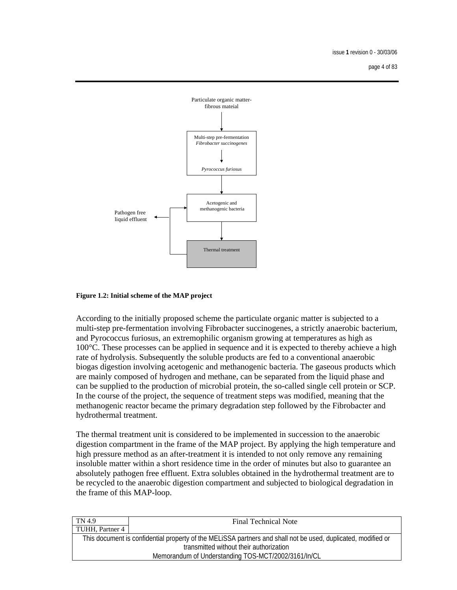page 4 of 83



#### **Figure 1.2: Initial scheme of the MAP project**

According to the initially proposed scheme the particulate organic matter is subjected to a multi-step pre-fermentation involving Fibrobacter succinogenes, a strictly anaerobic bacterium, and Pyrococcus furiosus, an extremophilic organism growing at temperatures as high as 100°C. These processes can be applied in sequence and it is expected to thereby achieve a high rate of hydrolysis. Subsequently the soluble products are fed to a conventional anaerobic biogas digestion involving acetogenic and methanogenic bacteria. The gaseous products which are mainly composed of hydrogen and methane, can be separated from the liquid phase and can be supplied to the production of microbial protein, the so-called single cell protein or SCP. In the course of the project, the sequence of treatment steps was modified, meaning that the methanogenic reactor became the primary degradation step followed by the Fibrobacter and hydrothermal treatment.

The thermal treatment unit is considered to be implemented in succession to the anaerobic digestion compartment in the frame of the MAP project. By applying the high temperature and high pressure method as an after-treatment it is intended to not only remove any remaining insoluble matter within a short residence time in the order of minutes but also to guarantee an absolutely pathogen free effluent. Extra solubles obtained in the hydrothermal treatment are to be recycled to the anaerobic digestion compartment and subjected to biological degradation in the frame of this MAP-loop.

| TN 4.9          | <b>Final Technical Note</b>                                                                                   |
|-----------------|---------------------------------------------------------------------------------------------------------------|
| TUHH, Partner 4 |                                                                                                               |
|                 | This document is confidential property of the MELISSA partners and shall not be used, duplicated, modified or |
|                 | transmitted without their authorization                                                                       |
|                 | Memorandum of Understanding TOS-MCT/2002/3161/In/CL                                                           |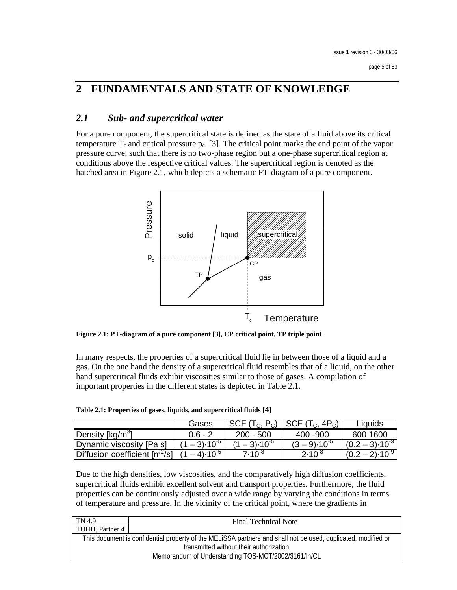## **2 FUNDAMENTALS AND STATE OF KNOWLEDGE**

#### *2.1 Sub- and supercritical water*

For a pure component, the supercritical state is defined as the state of a fluid above its critical temperature  $T_c$  and critical pressure  $p_c$ . [3]. The critical point marks the end point of the vapor pressure curve, such that there is no two-phase region but a one-phase supercritical region at conditions above the respective critical values. The supercritical region is denoted as the hatched area in Figure 2.1, which depicts a schematic PT-diagram of a pure component.



**Figure 2.1: PT-diagram of a pure component [3], CP critical point, TP triple point** 

In many respects, the properties of a supercritical fluid lie in between those of a liquid and a gas. On the one hand the density of a supercritical fluid resembles that of a liquid, on the other hand supercritical fluids exhibit viscosities similar to those of gases. A compilation of important properties in the different states is depicted in Table 2.1.

|                                                           | Gases                   |                         | $^{\prime}$ SCF (T <sub>C</sub> , P <sub>C</sub> )   SCF (T <sub>C</sub> , 4P <sub>C</sub> ) | Liquids                   |
|-----------------------------------------------------------|-------------------------|-------------------------|----------------------------------------------------------------------------------------------|---------------------------|
| Density [kg/m <sup>3</sup> ]                              | $0.6 - 2$               | $200 - 500$             | 400 -900                                                                                     | 600 1600                  |
| Dynamic viscosity [Pa s]                                  | $(1 - 3) \cdot 10^{-5}$ | $(1 - 3) \cdot 10^{-5}$ | $(3 - 9) \cdot 10^{-5}$                                                                      | $(0.2 - 3) \cdot 10^{-3}$ |
| Diffusion coefficient $[m^2/s]$   $(1 – 4) \cdot 10^{-5}$ |                         | $7.10^{8}$              | $2.10^{-8}$                                                                                  | $(0.2 - 2) \cdot 10^{-9}$ |

| Table 2.1: Properties of gases, liquids, and supercritical fluids [4] |  |  |
|-----------------------------------------------------------------------|--|--|
|                                                                       |  |  |

Due to the high densities, low viscosities, and the comparatively high diffusion coefficients, supercritical fluids exhibit excellent solvent and transport properties. Furthermore, the fluid properties can be continuously adjusted over a wide range by varying the conditions in terms of temperature and pressure. In the vicinity of the critical point, where the gradients in

| TN 4.9          | Final Technical Note                                                                                          |
|-----------------|---------------------------------------------------------------------------------------------------------------|
| TUHH. Partner 4 |                                                                                                               |
|                 | This document is confidential property of the MELISSA partners and shall not be used, duplicated, modified or |
|                 | transmitted without their authorization                                                                       |
|                 | Memorandum of Understanding TOS-MCT/2002/3161/In/CL                                                           |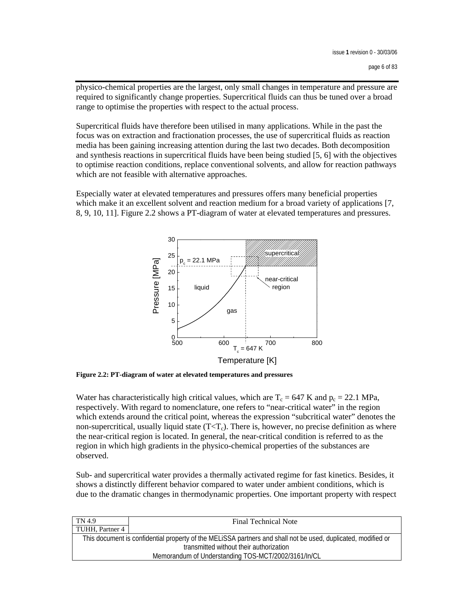physico-chemical properties are the largest, only small changes in temperature and pressure are required to significantly change properties. Supercritical fluids can thus be tuned over a broad range to optimise the properties with respect to the actual process.

Supercritical fluids have therefore been utilised in many applications. While in the past the focus was on extraction and fractionation processes, the use of supercritical fluids as reaction media has been gaining increasing attention during the last two decades. Both decomposition and synthesis reactions in supercritical fluids have been being studied [5, 6] with the objectives to optimise reaction conditions, replace conventional solvents, and allow for reaction pathways which are not feasible with alternative approaches.

Especially water at elevated temperatures and pressures offers many beneficial properties which make it an excellent solvent and reaction medium for a broad variety of applications [7, 8, 9, 10, 11]. Figure 2.2 shows a PT-diagram of water at elevated temperatures and pressures.



**Figure 2.2: PT-diagram of water at elevated temperatures and pressures** 

Water has characteristically high critical values, which are  $T_c = 647$  K and  $p_c = 22.1$  MPa, respectively. With regard to nomenclature, one refers to "near-critical water" in the region which extends around the critical point, whereas the expression "subcritical water" denotes the non-supercritical, usually liquid state  $(T< T<sub>c</sub>)$ . There is, however, no precise definition as where the near-critical region is located. In general, the near-critical condition is referred to as the region in which high gradients in the physico-chemical properties of the substances are observed.

Sub- and supercritical water provides a thermally activated regime for fast kinetics. Besides, it shows a distinctly different behavior compared to water under ambient conditions, which is due to the dramatic changes in thermodynamic properties. One important property with respect

| TN 4.9          | Final Technical Note                                                                                          |
|-----------------|---------------------------------------------------------------------------------------------------------------|
| TUHH. Partner 4 |                                                                                                               |
|                 | This document is confidential property of the MELISSA partners and shall not be used, duplicated, modified or |
|                 | transmitted without their authorization                                                                       |
|                 | Memorandum of Understanding TOS-MCT/2002/3161/In/CL                                                           |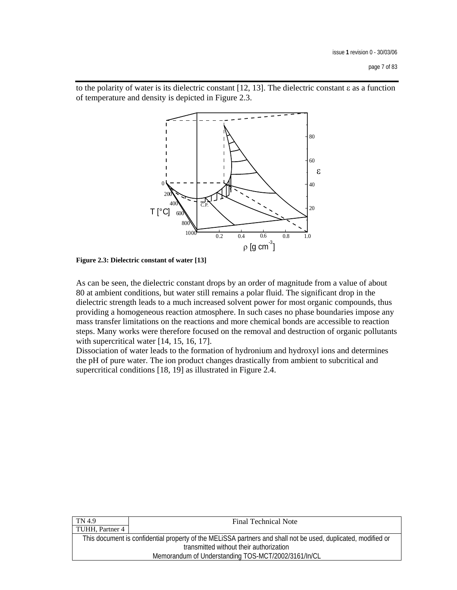to the polarity of water is its dielectric constant [12, 13]. The dielectric constant  $\varepsilon$  as a function of temperature and density is depicted in Figure 2.3.



**Figure 2.3: Dielectric constant of water [13]** 

As can be seen, the dielectric constant drops by an order of magnitude from a value of about 80 at ambient conditions, but water still remains a polar fluid. The significant drop in the dielectric strength leads to a much increased solvent power for most organic compounds, thus providing a homogeneous reaction atmosphere. In such cases no phase boundaries impose any mass transfer limitations on the reactions and more chemical bonds are accessible to reaction steps. Many works were therefore focused on the removal and destruction of organic pollutants with supercritical water [14, 15, 16, 17].

Dissociation of water leads to the formation of hydronium and hydroxyl ions and determines the pH of pure water. The ion product changes drastically from ambient to subcritical and supercritical conditions [18, 19] as illustrated in Figure 2.4.

| TN 4.9          | <b>Final Technical Note</b>                                                                                   |
|-----------------|---------------------------------------------------------------------------------------------------------------|
| TUHH. Partner 4 |                                                                                                               |
|                 | This document is confidential property of the MELISSA partners and shall not be used, duplicated, modified or |
|                 | transmitted without their authorization                                                                       |
|                 | Memorandum of Understanding TOS-MCT/2002/3161/In/CL                                                           |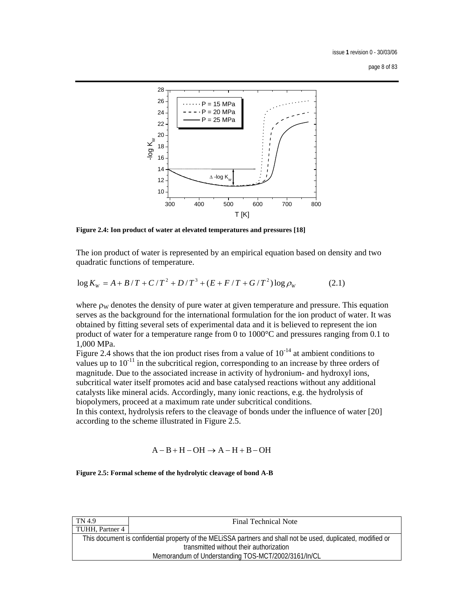

**Figure 2.4: Ion product of water at elevated temperatures and pressures [18]** 

The ion product of water is represented by an empirical equation based on density and two quadratic functions of temperature.

$$
\log K_{\rm w} = A + B/T + C/T^2 + D/T^3 + (E + F/T + G/T^2) \log \rho_{\rm w}
$$
 (2.1)

where  $\rho_W$  denotes the density of pure water at given temperature and pressure. This equation serves as the background for the international formulation for the ion product of water. It was obtained by fitting several sets of experimental data and it is believed to represent the ion product of water for a temperature range from 0 to 1000°C and pressures ranging from 0.1 to 1,000 MPa.

Figure 2.4 shows that the ion product rises from a value of  $10^{-14}$  at ambient conditions to values up to  $10^{-11}$  in the subcritical region, corresponding to an increase by three orders of magnitude. Due to the associated increase in activity of hydronium- and hydroxyl ions, subcritical water itself promotes acid and base catalysed reactions without any additional catalysts like mineral acids. Accordingly, many ionic reactions, e.g. the hydrolysis of biopolymers, proceed at a maximum rate under subcritical conditions.

In this context, hydrolysis refers to the cleavage of bonds under the influence of water [20] according to the scheme illustrated in Figure 2.5.

$$
A - B + H - OH \rightarrow A - H + B - OH
$$

#### **Figure 2.5: Formal scheme of the hydrolytic cleavage of bond A-B**

| TN 4.9          | <b>Final Technical Note</b>                                                                                   |
|-----------------|---------------------------------------------------------------------------------------------------------------|
| TUHH, Partner 4 |                                                                                                               |
|                 | This document is confidential property of the MELISSA partners and shall not be used, duplicated, modified or |
|                 | transmitted without their authorization                                                                       |
|                 | Memorandum of Understanding TOS-MCT/2002/3161/In/CL                                                           |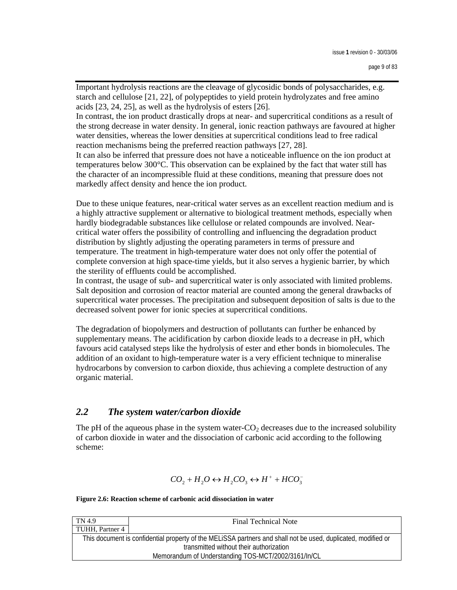Important hydrolysis reactions are the cleavage of glycosidic bonds of polysaccharides, e.g. starch and cellulose [21, 22], of polypeptides to yield protein hydrolyzates and free amino acids [23, 24, 25], as well as the hydrolysis of esters [26].

In contrast, the ion product drastically drops at near- and supercritical conditions as a result of the strong decrease in water density. In general, ionic reaction pathways are favoured at higher water densities, whereas the lower densities at supercritical conditions lead to free radical reaction mechanisms being the preferred reaction pathways [27, 28].

It can also be inferred that pressure does not have a noticeable influence on the ion product at temperatures below 300°C. This observation can be explained by the fact that water still has the character of an incompressible fluid at these conditions, meaning that pressure does not markedly affect density and hence the ion product.

Due to these unique features, near-critical water serves as an excellent reaction medium and is a highly attractive supplement or alternative to biological treatment methods, especially when hardly biodegradable substances like cellulose or related compounds are involved. Nearcritical water offers the possibility of controlling and influencing the degradation product distribution by slightly adjusting the operating parameters in terms of pressure and temperature. The treatment in high-temperature water does not only offer the potential of complete conversion at high space-time yields, but it also serves a hygienic barrier, by which the sterility of effluents could be accomplished.

In contrast, the usage of sub- and supercritical water is only associated with limited problems. Salt deposition and corrosion of reactor material are counted among the general drawbacks of supercritical water processes. The precipitation and subsequent deposition of salts is due to the decreased solvent power for ionic species at supercritical conditions.

The degradation of biopolymers and destruction of pollutants can further be enhanced by supplementary means. The acidification by carbon dioxide leads to a decrease in pH, which favours acid catalysed steps like the hydrolysis of ester and ether bonds in biomolecules. The addition of an oxidant to high-temperature water is a very efficient technique to mineralise hydrocarbons by conversion to carbon dioxide, thus achieving a complete destruction of any organic material.

#### *2.2 The system water/carbon dioxide*

The pH of the aqueous phase in the system water- $CO<sub>2</sub>$  decreases due to the increased solubility of carbon dioxide in water and the dissociation of carbonic acid according to the following scheme:

$$
CO_2 + H_2O \leftrightarrow H_2CO_3 \leftrightarrow H^+ + HCO_3^-
$$

**Figure 2.6: Reaction scheme of carbonic acid dissociation in water** 

| TN 4.9          | <b>Final Technical Note</b>                                                                                   |
|-----------------|---------------------------------------------------------------------------------------------------------------|
| TUHH, Partner 4 |                                                                                                               |
|                 | This document is confidential property of the MELISSA partners and shall not be used, duplicated, modified or |
|                 | transmitted without their authorization                                                                       |
|                 | Memorandum of Understanding TOS-MCT/2002/3161/In/CL                                                           |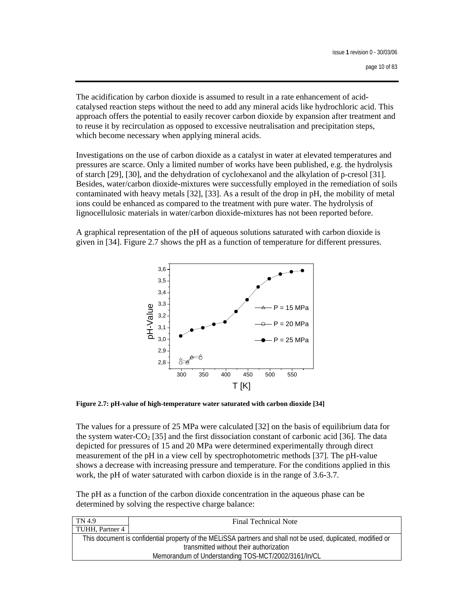The acidification by carbon dioxide is assumed to result in a rate enhancement of acidcatalysed reaction steps without the need to add any mineral acids like hydrochloric acid. This approach offers the potential to easily recover carbon dioxide by expansion after treatment and to reuse it by recirculation as opposed to excessive neutralisation and precipitation steps, which become necessary when applying mineral acids.

Investigations on the use of carbon dioxide as a catalyst in water at elevated temperatures and pressures are scarce. Only a limited number of works have been published, e.g. the hydrolysis of starch [29], [30], and the dehydration of cyclohexanol and the alkylation of p-cresol [31]. Besides, water/carbon dioxide-mixtures were successfully employed in the remediation of soils contaminated with heavy metals [32], [33]. As a result of the drop in pH, the mobility of metal ions could be enhanced as compared to the treatment with pure water. The hydrolysis of lignocellulosic materials in water/carbon dioxide-mixtures has not been reported before.

A graphical representation of the pH of aqueous solutions saturated with carbon dioxide is given in [34]. Figure 2.7 shows the pH as a function of temperature for different pressures.



**Figure 2.7: pH-value of high-temperature water saturated with carbon dioxide [34]** 

The values for a pressure of 25 MPa were calculated [32] on the basis of equilibrium data for the system water- $CO<sub>2</sub>$  [35] and the first dissociation constant of carbonic acid [36]. The data depicted for pressures of 15 and 20 MPa were determined experimentally through direct measurement of the pH in a view cell by spectrophotometric methods [37]. The pH-value shows a decrease with increasing pressure and temperature. For the conditions applied in this work, the pH of water saturated with carbon dioxide is in the range of 3.6-3.7.

The pH as a function of the carbon dioxide concentration in the aqueous phase can be determined by solving the respective charge balance:

| TN 4.9          | <b>Final Technical Note</b>                                                                                   |
|-----------------|---------------------------------------------------------------------------------------------------------------|
| TUHH. Partner 4 |                                                                                                               |
|                 | This document is confidential property of the MELISSA partners and shall not be used, duplicated, modified or |
|                 | transmitted without their authorization                                                                       |
|                 | Memorandum of Understanding TOS-MCT/2002/3161/In/CL                                                           |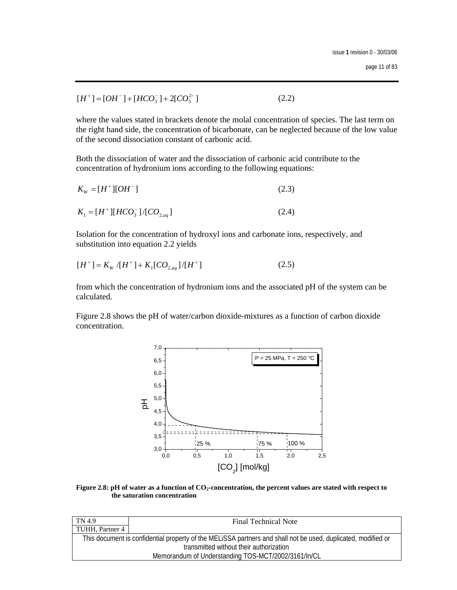page 11 of 83

$$
[H^+] = [OH^-] + [HCO_3^-] + 2[CO_3^{2-}] \tag{2.2}
$$

where the values stated in brackets denote the molal concentration of species. The last term on the right hand side, the concentration of bicarbonate, can be neglected because of the low value of the second dissociation constant of carbonic acid.

Both the dissociation of water and the dissociation of carbonic acid contribute to the concentration of hydronium ions according to the following equations:

$$
K_{W} = [H^{+}][OH^{-}]
$$
\n(2.3)  
\n
$$
K_{1} = [H^{+}][HCO_{3}^{-}]/[CO_{2,aq}]
$$
\n(2.4)

Isolation for the concentration of hydroxyl ions and carbonate ions, respectively, and substitution into equation 2.2 yields

$$
[H^+] = K_W / [H^+] + K_1 [CO_{2,aq}] / [H^+] \tag{2.5}
$$

from which the concentration of hydronium ions and the associated pH of the system can be calculated.

Figure 2.8 shows the pH of water/carbon dioxide-mixtures as a function of carbon dioxide concentration.



Figure 2.8: pH of water as a function of CO<sub>2</sub>-concentration, the percent values are stated with respect to **the saturation concentration** 

| TN 4.9          | Final Technical Note                                                                                          |
|-----------------|---------------------------------------------------------------------------------------------------------------|
| TUHH, Partner 4 |                                                                                                               |
|                 | This document is confidential property of the MELISSA partners and shall not be used, duplicated, modified or |
|                 | transmitted without their authorization                                                                       |
|                 | Memorandum of Understanding TOS-MCT/2002/3161/In/CL                                                           |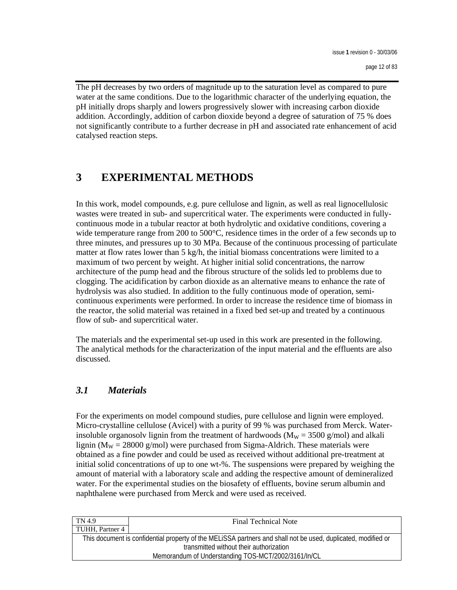The pH decreases by two orders of magnitude up to the saturation level as compared to pure water at the same conditions. Due to the logarithmic character of the underlying equation, the pH initially drops sharply and lowers progressively slower with increasing carbon dioxide addition. Accordingly, addition of carbon dioxide beyond a degree of saturation of 75 % does not significantly contribute to a further decrease in pH and associated rate enhancement of acid catalysed reaction steps.

## **3 EXPERIMENTAL METHODS**

In this work, model compounds, e.g. pure cellulose and lignin, as well as real lignocellulosic wastes were treated in sub- and supercritical water. The experiments were conducted in fullycontinuous mode in a tubular reactor at both hydrolytic and oxidative conditions, covering a wide temperature range from 200 to 500°C, residence times in the order of a few seconds up to three minutes, and pressures up to 30 MPa. Because of the continuous processing of particulate matter at flow rates lower than 5 kg/h, the initial biomass concentrations were limited to a maximum of two percent by weight. At higher initial solid concentrations, the narrow architecture of the pump head and the fibrous structure of the solids led to problems due to clogging. The acidification by carbon dioxide as an alternative means to enhance the rate of hydrolysis was also studied. In addition to the fully continuous mode of operation, semicontinuous experiments were performed. In order to increase the residence time of biomass in the reactor, the solid material was retained in a fixed bed set-up and treated by a continuous flow of sub- and supercritical water.

The materials and the experimental set-up used in this work are presented in the following. The analytical methods for the characterization of the input material and the effluents are also discussed.

#### *3.1 Materials*

For the experiments on model compound studies, pure cellulose and lignin were employed. Micro-crystalline cellulose (Avicel) with a purity of 99 % was purchased from Merck. Waterinsoluble organosoly lignin from the treatment of hardwoods ( $M_W = 3500$  g/mol) and alkali lignin ( $M_W = 28000$  g/mol) were purchased from Sigma-Aldrich. These materials were obtained as a fine powder and could be used as received without additional pre-treatment at initial solid concentrations of up to one wt-%. The suspensions were prepared by weighing the amount of material with a laboratory scale and adding the respective amount of demineralized water. For the experimental studies on the biosafety of effluents, bovine serum albumin and naphthalene were purchased from Merck and were used as received.

| TN 4.9          | <b>Final Technical Note</b>                                                                                   |
|-----------------|---------------------------------------------------------------------------------------------------------------|
| TUHH, Partner 4 |                                                                                                               |
|                 | This document is confidential property of the MELISSA partners and shall not be used, duplicated, modified or |
|                 | transmitted without their authorization                                                                       |
|                 | Memorandum of Understanding TOS-MCT/2002/3161/In/CL                                                           |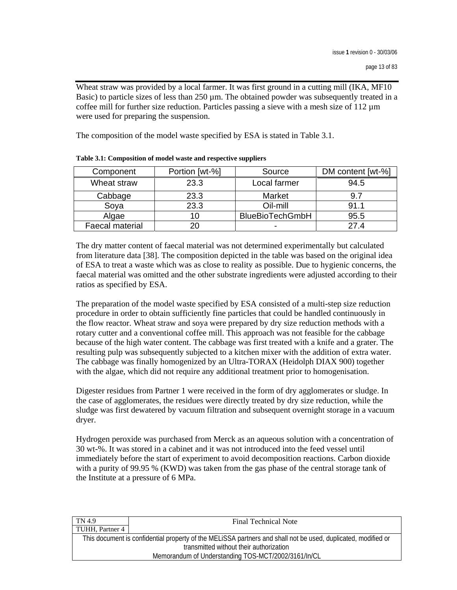Wheat straw was provided by a local farmer. It was first ground in a cutting mill (IKA, MF10) Basic) to particle sizes of less than 250 µm. The obtained powder was subsequently treated in a coffee mill for further size reduction. Particles passing a sieve with a mesh size of  $112 \mu m$ were used for preparing the suspension.

The composition of the model waste specified by ESA is stated in Table 3.1.

| Component              | Portion [wt-%] | Source                 | DM content [wt-%] |
|------------------------|----------------|------------------------|-------------------|
| Wheat straw            | 23.3           | Local farmer           | 94.5              |
| Cabbage                | 23.3           | Market                 |                   |
| Soya                   | 23.3           | Oil-mill               | 91.1              |
| Algae                  | 10             | <b>BlueBioTechGmbH</b> | 95.5              |
| <b>Faecal material</b> | 20             |                        | 27 4              |

**Table 3.1: Composition of model waste and respective suppliers** 

The dry matter content of faecal material was not determined experimentally but calculated from literature data [38]. The composition depicted in the table was based on the original idea of ESA to treat a waste which was as close to reality as possible. Due to hygienic concerns, the faecal material was omitted and the other substrate ingredients were adjusted according to their ratios as specified by ESA.

The preparation of the model waste specified by ESA consisted of a multi-step size reduction procedure in order to obtain sufficiently fine particles that could be handled continuously in the flow reactor. Wheat straw and soya were prepared by dry size reduction methods with a rotary cutter and a conventional coffee mill. This approach was not feasible for the cabbage because of the high water content. The cabbage was first treated with a knife and a grater. The resulting pulp was subsequently subjected to a kitchen mixer with the addition of extra water. The cabbage was finally homogenized by an Ultra-TORAX (Heidolph DIAX 900) together with the algae, which did not require any additional treatment prior to homogenisation.

Digester residues from Partner 1 were received in the form of dry agglomerates or sludge. In the case of agglomerates, the residues were directly treated by dry size reduction, while the sludge was first dewatered by vacuum filtration and subsequent overnight storage in a vacuum dryer.

Hydrogen peroxide was purchased from Merck as an aqueous solution with a concentration of 30 wt-%. It was stored in a cabinet and it was not introduced into the feed vessel until immediately before the start of experiment to avoid decomposition reactions. Carbon dioxide with a purity of 99.95 % (KWD) was taken from the gas phase of the central storage tank of the Institute at a pressure of 6 MPa.

| TN 4.9          | Final Technical Note                                                                                          |
|-----------------|---------------------------------------------------------------------------------------------------------------|
| TUHH. Partner 4 |                                                                                                               |
|                 | This document is confidential property of the MELISSA partners and shall not be used, duplicated, modified or |
|                 | transmitted without their authorization                                                                       |
|                 | Memorandum of Understanding TOS-MCT/2002/3161/In/CL                                                           |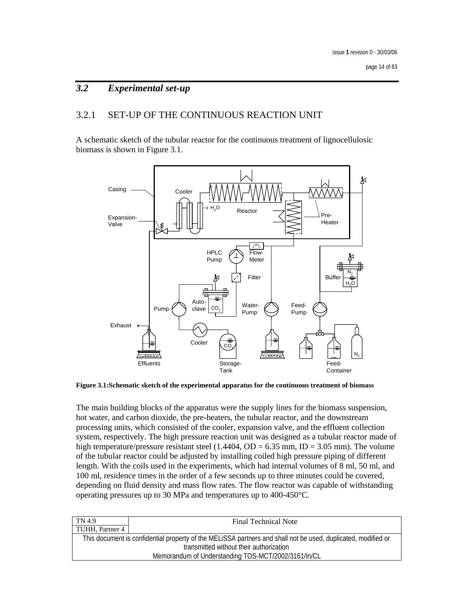### *3.2 Experimental set-up*

### 3.2.1 SET-UP OF THE CONTINUOUS REACTION UNIT

A schematic sketch of the tubular reactor for the continuous treatment of lignocellulosic biomass is shown in Figure 3.1.



**Figure 3.1:Schematic sketch of the experimental apparatus for the continuous treatment of biomass** 

The main building blocks of the apparatus were the supply lines for the biomass suspension, hot water, and carbon dioxide, the pre-heaters, the tubular reactor, and the downstream processing units, which consisted of the cooler, expansion valve, and the effluent collection system, respectively. The high pressure reaction unit was designed as a tubular reactor made of high temperature/pressure resistant steel (1.4404, OD =  $6.35$  mm, ID =  $3.05$  mm). The volume of the tubular reactor could be adjusted by installing coiled high pressure piping of different length. With the coils used in the experiments, which had internal volumes of 8 ml, 50 ml, and 100 ml, residence times in the order of a few seconds up to three minutes could be covered, depending on fluid density and mass flow rates. The flow reactor was capable of withstanding operating pressures up to 30 MPa and temperatures up to 400-450°C.

| TN 4.9                                                                                                        | <b>Final Technical Note</b> |  |
|---------------------------------------------------------------------------------------------------------------|-----------------------------|--|
| TUHH. Partner 4                                                                                               |                             |  |
| This document is confidential property of the MELISSA partners and shall not be used, duplicated, modified or |                             |  |
| transmitted without their authorization                                                                       |                             |  |
| Memorandum of Understanding TOS-MCT/2002/3161/In/CL                                                           |                             |  |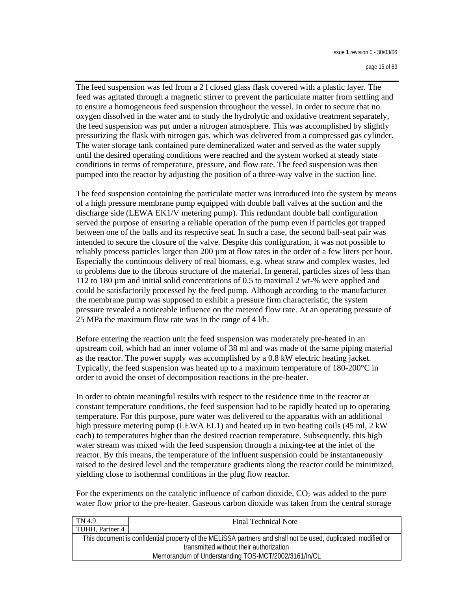The feed suspension was fed from a 2 l closed glass flask covered with a plastic layer. The feed was agitated through a magnetic stirrer to prevent the particulate matter from settling and to ensure a homogeneous feed suspension throughout the vessel. In order to secure that no oxygen dissolved in the water and to study the hydrolytic and oxidative treatment separately, the feed suspension was put under a nitrogen atmosphere. This was accomplished by slightly pressurizing the flask with nitrogen gas, which was delivered from a compressed gas cylinder. The water storage tank contained pure demineralized water and served as the water supply until the desired operating conditions were reached and the system worked at steady state conditions in terms of temperature, pressure, and flow rate. The feed suspension was then pumped into the reactor by adjusting the position of a three-way valve in the suction line.

The feed suspension containing the particulate matter was introduced into the system by means of a high pressure membrane pump equipped with double ball valves at the suction and the discharge side (LEWA EK1/V metering pump). This redundant double ball configuration served the purpose of ensuring a reliable operation of the pump even if particles got trapped between one of the balls and its respective seat. In such a case, the second ball-seat pair was intended to secure the closure of the valve. Despite this configuration, it was not possible to reliably process particles larger than 200  $\mu$ m at flow rates in the order of a few liters per hour. Especially the continuous delivery of real biomass, e.g. wheat straw and complex wastes, led to problems due to the fibrous structure of the material. In general, particles sizes of less than 112 to 180 µm and initial solid concentrations of 0.5 to maximal 2 wt-% were applied and could be satisfactorily processed by the feed pump. Although according to the manufacturer the membrane pump was supposed to exhibit a pressure firm characteristic, the system pressure revealed a noticeable influence on the metered flow rate. At an operating pressure of 25 MPa the maximum flow rate was in the range of 4 l/h.

Before entering the reaction unit the feed suspension was moderately pre-heated in an upstream coil, which had an inner volume of 38 ml and was made of the same piping material as the reactor. The power supply was accomplished by a 0.8 kW electric heating jacket. Typically, the feed suspension was heated up to a maximum temperature of  $180-200^{\circ}$ C in order to avoid the onset of decomposition reactions in the pre-heater.

In order to obtain meaningful results with respect to the residence time in the reactor at constant temperature conditions, the feed suspension had to be rapidly heated up to operating temperature. For this purpose, pure water was delivered to the apparatus with an additional high pressure metering pump (LEWA EL1) and heated up in two heating coils (45 ml, 2 kW each) to temperatures higher than the desired reaction temperature. Subsequently, this high water stream was mixed with the feed suspension through a mixing-tee at the inlet of the reactor. By this means, the temperature of the influent suspension could be instantaneously raised to the desired level and the temperature gradients along the reactor could be minimized, yielding close to isothermal conditions in the plug flow reactor.

For the experiments on the catalytic influence of carbon dioxide,  $CO<sub>2</sub>$  was added to the pure water flow prior to the pre-heater. Gaseous carbon dioxide was taken from the central storage

| TN 4.9          | Final Technical Note                                                                                          |
|-----------------|---------------------------------------------------------------------------------------------------------------|
| TUHH. Partner 4 |                                                                                                               |
|                 | This document is confidential property of the MELISSA partners and shall not be used, duplicated, modified or |
|                 | transmitted without their authorization                                                                       |
|                 | Memorandum of Understanding TOS-MCT/2002/3161/In/CL                                                           |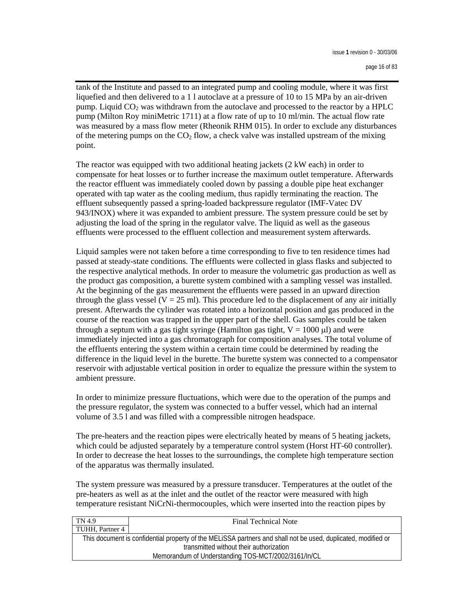tank of the Institute and passed to an integrated pump and cooling module, where it was first liquefied and then delivered to a 1 l autoclave at a pressure of 10 to 15 MPa by an air-driven pump. Liquid  $CO<sub>2</sub>$  was withdrawn from the autoclave and processed to the reactor by a HPLC pump (Milton Roy miniMetric 1711) at a flow rate of up to 10 ml/min. The actual flow rate was measured by a mass flow meter (Rheonik RHM 015). In order to exclude any disturbances of the metering pumps on the  $CO<sub>2</sub>$  flow, a check valve was installed upstream of the mixing point.

The reactor was equipped with two additional heating jackets (2 kW each) in order to compensate for heat losses or to further increase the maximum outlet temperature. Afterwards the reactor effluent was immediately cooled down by passing a double pipe heat exchanger operated with tap water as the cooling medium, thus rapidly terminating the reaction. The effluent subsequently passed a spring-loaded backpressure regulator (IMF-Vatec DV 943/INOX) where it was expanded to ambient pressure. The system pressure could be set by adjusting the load of the spring in the regulator valve. The liquid as well as the gaseous effluents were processed to the effluent collection and measurement system afterwards.

Liquid samples were not taken before a time corresponding to five to ten residence times had passed at steady-state conditions. The effluents were collected in glass flasks and subjected to the respective analytical methods. In order to measure the volumetric gas production as well as the product gas composition, a burette system combined with a sampling vessel was installed. At the beginning of the gas measurement the effluents were passed in an upward direction through the glass vessel ( $V = 25$  ml). This procedure led to the displacement of any air initially present. Afterwards the cylinder was rotated into a horizontal position and gas produced in the course of the reaction was trapped in the upper part of the shell. Gas samples could be taken through a septum with a gas tight syringe (Hamilton gas tight,  $V = 1000 \mu l$ ) and were immediately injected into a gas chromatograph for composition analyses. The total volume of the effluents entering the system within a certain time could be determined by reading the difference in the liquid level in the burette. The burette system was connected to a compensator reservoir with adjustable vertical position in order to equalize the pressure within the system to ambient pressure.

In order to minimize pressure fluctuations, which were due to the operation of the pumps and the pressure regulator, the system was connected to a buffer vessel, which had an internal volume of 3.5 l and was filled with a compressible nitrogen headspace.

The pre-heaters and the reaction pipes were electrically heated by means of 5 heating jackets, which could be adjusted separately by a temperature control system (Horst HT-60 controller). In order to decrease the heat losses to the surroundings, the complete high temperature section of the apparatus was thermally insulated.

The system pressure was measured by a pressure transducer. Temperatures at the outlet of the pre-heaters as well as at the inlet and the outlet of the reactor were measured with high temperature resistant NiCrNi-thermocouples, which were inserted into the reaction pipes by

| TN 4.9                                              | Final Technical Note                                                                                          |  |
|-----------------------------------------------------|---------------------------------------------------------------------------------------------------------------|--|
| TUHH, Partner 4                                     |                                                                                                               |  |
|                                                     | This document is confidential property of the MELISSA partners and shall not be used, duplicated, modified or |  |
| transmitted without their authorization             |                                                                                                               |  |
| Memorandum of Understanding TOS-MCT/2002/3161/In/CL |                                                                                                               |  |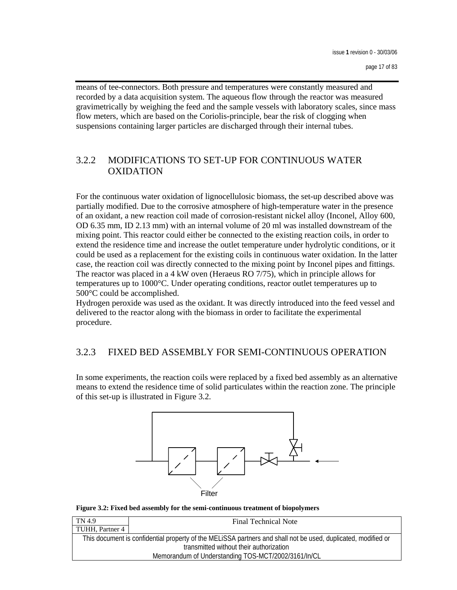means of tee-connectors. Both pressure and temperatures were constantly measured and recorded by a data acquisition system. The aqueous flow through the reactor was measured gravimetrically by weighing the feed and the sample vessels with laboratory scales, since mass flow meters, which are based on the Coriolis-principle, bear the risk of clogging when suspensions containing larger particles are discharged through their internal tubes.

#### 3.2.2 MODIFICATIONS TO SET-UP FOR CONTINUOUS WATER **OXIDATION**

For the continuous water oxidation of lignocellulosic biomass, the set-up described above was partially modified. Due to the corrosive atmosphere of high-temperature water in the presence of an oxidant, a new reaction coil made of corrosion-resistant nickel alloy (Inconel, Alloy 600, OD 6.35 mm, ID 2.13 mm) with an internal volume of 20 ml was installed downstream of the mixing point. This reactor could either be connected to the existing reaction coils, in order to extend the residence time and increase the outlet temperature under hydrolytic conditions, or it could be used as a replacement for the existing coils in continuous water oxidation. In the latter case, the reaction coil was directly connected to the mixing point by Inconel pipes and fittings. The reactor was placed in a 4 kW oven (Heraeus RO 7/75), which in principle allows for temperatures up to 1000°C. Under operating conditions, reactor outlet temperatures up to 500°C could be accomplished.

Hydrogen peroxide was used as the oxidant. It was directly introduced into the feed vessel and delivered to the reactor along with the biomass in order to facilitate the experimental procedure.

#### 3.2.3 FIXED BED ASSEMBLY FOR SEMI-CONTINUOUS OPERATION

In some experiments, the reaction coils were replaced by a fixed bed assembly as an alternative means to extend the residence time of solid particulates within the reaction zone. The principle of this set-up is illustrated in Figure 3.2.



**Figure 3.2: Fixed bed assembly for the semi-continuous treatment of biopolymers** 

| TN 4.9                                              | Final Technical Note                                                                                          |  |
|-----------------------------------------------------|---------------------------------------------------------------------------------------------------------------|--|
| TUHH. Partner 4                                     |                                                                                                               |  |
|                                                     | This document is confidential property of the MELISSA partners and shall not be used, duplicated, modified or |  |
|                                                     | transmitted without their authorization                                                                       |  |
| Memorandum of Understanding TOS-MCT/2002/3161/In/CL |                                                                                                               |  |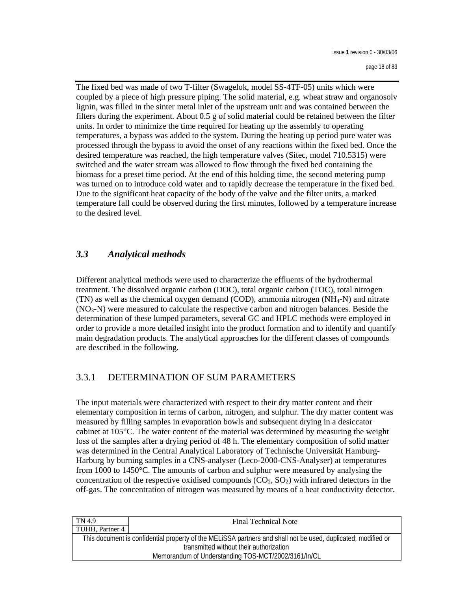The fixed bed was made of two T-filter (Swagelok, model SS-4TF-05) units which were coupled by a piece of high pressure piping. The solid material, e.g. wheat straw and organosolv lignin, was filled in the sinter metal inlet of the upstream unit and was contained between the filters during the experiment. About 0.5 g of solid material could be retained between the filter units. In order to minimize the time required for heating up the assembly to operating temperatures, a bypass was added to the system. During the heating up period pure water was processed through the bypass to avoid the onset of any reactions within the fixed bed. Once the desired temperature was reached, the high temperature valves (Sitec, model 710.5315) were switched and the water stream was allowed to flow through the fixed bed containing the biomass for a preset time period. At the end of this holding time, the second metering pump was turned on to introduce cold water and to rapidly decrease the temperature in the fixed bed. Due to the significant heat capacity of the body of the valve and the filter units, a marked temperature fall could be observed during the first minutes, followed by a temperature increase to the desired level.

#### *3.3 Analytical methods*

Different analytical methods were used to characterize the effluents of the hydrothermal treatment. The dissolved organic carbon (DOC), total organic carbon (TOC), total nitrogen (TN) as well as the chemical oxygen demand (COD), ammonia nitrogen (NH4-N) and nitrate (NO3-N) were measured to calculate the respective carbon and nitrogen balances. Beside the determination of these lumped parameters, several GC and HPLC methods were employed in order to provide a more detailed insight into the product formation and to identify and quantify main degradation products. The analytical approaches for the different classes of compounds are described in the following.

#### 3.3.1 DETERMINATION OF SUM PARAMETERS

The input materials were characterized with respect to their dry matter content and their elementary composition in terms of carbon, nitrogen, and sulphur. The dry matter content was measured by filling samples in evaporation bowls and subsequent drying in a desiccator cabinet at  $105^{\circ}$ C. The water content of the material was determined by measuring the weight loss of the samples after a drying period of 48 h. The elementary composition of solid matter was determined in the Central Analytical Laboratory of Technische Universität Hamburg-Harburg by burning samples in a CNS-analyser (Leco-2000-CNS-Analyser) at temperatures from 1000 to 1450°C. The amounts of carbon and sulphur were measured by analysing the concentration of the respective oxidised compounds  $(CO_2, SO_2)$  with infrared detectors in the off-gas. The concentration of nitrogen was measured by means of a heat conductivity detector.

| TN 4.9                                  | <b>Final Technical Note</b>                                                                                   |  |
|-----------------------------------------|---------------------------------------------------------------------------------------------------------------|--|
| TUHH, Partner 4                         |                                                                                                               |  |
|                                         | This document is confidential property of the MELISSA partners and shall not be used, duplicated, modified or |  |
| transmitted without their authorization |                                                                                                               |  |
|                                         | Memorandum of Understanding TOS-MCT/2002/3161/In/CL                                                           |  |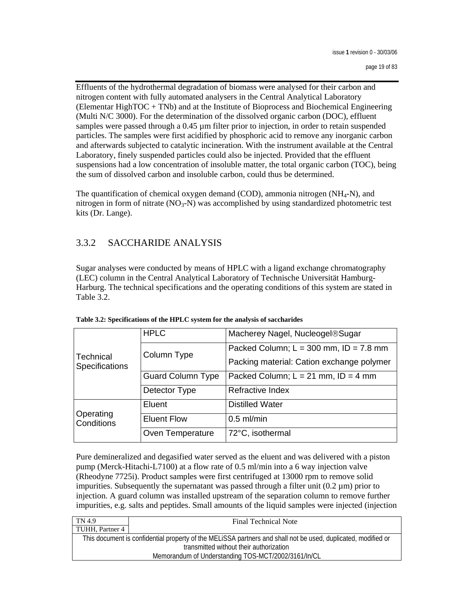Effluents of the hydrothermal degradation of biomass were analysed for their carbon and nitrogen content with fully automated analysers in the Central Analytical Laboratory (Elementar HighTOC + TNb) and at the Institute of Bioprocess and Biochemical Engineering (Multi N/C 3000). For the determination of the dissolved organic carbon (DOC), effluent samples were passed through a 0.45 µm filter prior to injection, in order to retain suspended particles. The samples were first acidified by phosphoric acid to remove any inorganic carbon and afterwards subjected to catalytic incineration. With the instrument available at the Central Laboratory, finely suspended particles could also be injected. Provided that the effluent suspensions had a low concentration of insoluble matter, the total organic carbon (TOC), being the sum of dissolved carbon and insoluble carbon, could thus be determined.

The quantification of chemical oxygen demand (COD), ammonia nitrogen (NH4-N), and nitrogen in form of nitrate  $(NO<sub>3</sub>-N)$  was accomplished by using standardized photometric test kits (Dr. Lange).

### 3.3.2 SACCHARIDE ANALYSIS

Sugar analyses were conducted by means of HPLC with a ligand exchange chromatography (LEC) column in the Central Analytical Laboratory of Technische Universität Hamburg-Harburg. The technical specifications and the operating conditions of this system are stated in Table 3.2.

|                                    | <b>HPLC</b>              | Macherey Nagel, Nucleogel <sup>®</sup> Sugar |  |  |
|------------------------------------|--------------------------|----------------------------------------------|--|--|
|                                    | Column Type              | Packed Column; $L = 300$ mm, $ID = 7.8$ mm   |  |  |
| Technical<br><b>Specifications</b> |                          | Packing material: Cation exchange polymer    |  |  |
|                                    | <b>Guard Column Type</b> | Packed Column; $L = 21$ mm, $ID = 4$ mm      |  |  |
|                                    | Detector Type            | Refractive Index                             |  |  |
|                                    | Eluent                   | <b>Distilled Water</b>                       |  |  |
| Operating<br>Conditions            | <b>Eluent Flow</b>       | $0.5$ ml/min                                 |  |  |
|                                    | Oven Temperature         | 72°C, isothermal                             |  |  |

**Table 3.2: Specifications of the HPLC system for the analysis of saccharides** 

Pure demineralized and degasified water served as the eluent and was delivered with a piston pump (Merck-Hitachi-L7100) at a flow rate of 0.5 ml/min into a 6 way injection valve (Rheodyne 7725i). Product samples were first centrifuged at 13000 rpm to remove solid impurities. Subsequently the supernatant was passed through a filter unit  $(0.2 \mu m)$  prior to injection. A guard column was installed upstream of the separation column to remove further impurities, e.g. salts and peptides. Small amounts of the liquid samples were injected (injection

| TN 4.9                                              | <b>Final Technical Note</b>                                                                                   |  |
|-----------------------------------------------------|---------------------------------------------------------------------------------------------------------------|--|
| TUHH. Partner 4                                     |                                                                                                               |  |
|                                                     | This document is confidential property of the MELISSA partners and shall not be used, duplicated, modified or |  |
| transmitted without their authorization             |                                                                                                               |  |
| Memorandum of Understanding TOS-MCT/2002/3161/In/CL |                                                                                                               |  |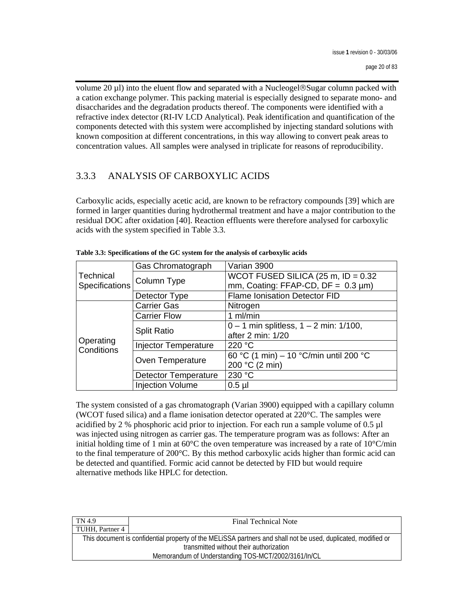volume 20  $\mu$ ) into the eluent flow and separated with a Nucleogel®Sugar column packed with a cation exchange polymer. This packing material is especially designed to separate mono- and disaccharides and the degradation products thereof. The components were identified with a refractive index detector (RI-IV LCD Analytical). Peak identification and quantification of the components detected with this system were accomplished by injecting standard solutions with known composition at different concentrations, in this way allowing to convert peak areas to concentration values. All samples were analysed in triplicate for reasons of reproducibility.

#### 3.3.3 ANALYSIS OF CARBOXYLIC ACIDS

Carboxylic acids, especially acetic acid, are known to be refractory compounds [39] which are formed in larger quantities during hydrothermal treatment and have a major contribution to the residual DOC after oxidation [40]. Reaction effluents were therefore analysed for carboxylic acids with the system specified in Table 3.3.

|                             | Gas Chromatograph           | Varian 3900                                                                        |
|-----------------------------|-----------------------------|------------------------------------------------------------------------------------|
| Technical<br>Specifications | Column Type                 | WCOT FUSED SILICA (25 m, $ID = 0.32$ )<br>mm, Coating: FFAP-CD, $DF = 0.3 \mu m$ ) |
|                             | Detector Type               | <b>Flame Ionisation Detector FID</b>                                               |
|                             | <b>Carrier Gas</b>          | Nitrogen                                                                           |
| Operating<br>Conditions     | <b>Carrier Flow</b>         | $1$ ml/min                                                                         |
|                             | <b>Split Ratio</b>          | $0 - 1$ min splitless, $1 - 2$ min: 1/100,<br>after 2 min: 1/20                    |
|                             | <b>Injector Temperature</b> | 220 °C                                                                             |
|                             | Oven Temperature            | 60 °C (1 min) – 10 °C/min until 200 °C<br>200 °C (2 min)                           |
|                             | <b>Detector Temperature</b> | 230 °C                                                                             |
|                             | <b>Injection Volume</b>     | $0.5$ µl                                                                           |

**Table 3.3: Specifications of the GC system for the analysis of carboxylic acids** 

The system consisted of a gas chromatograph (Varian 3900) equipped with a capillary column (WCOT fused silica) and a flame ionisation detector operated at 220°C. The samples were acidified by 2 % phosphoric acid prior to injection. For each run a sample volume of 0.5  $\mu$ l was injected using nitrogen as carrier gas. The temperature program was as follows: After an initial holding time of 1 min at  $60^{\circ}$ C the oven temperature was increased by a rate of  $10^{\circ}$ C/min to the final temperature of 200°C. By this method carboxylic acids higher than formic acid can be detected and quantified. Formic acid cannot be detected by FID but would require alternative methods like HPLC for detection.

| TN 4.9                                  | <b>Final Technical Note</b>                                                                                   |  |
|-----------------------------------------|---------------------------------------------------------------------------------------------------------------|--|
| TUHH, Partner 4                         |                                                                                                               |  |
|                                         | This document is confidential property of the MELISSA partners and shall not be used, duplicated, modified or |  |
| transmitted without their authorization |                                                                                                               |  |
|                                         | Memorandum of Understanding TOS-MCT/2002/3161/In/CL                                                           |  |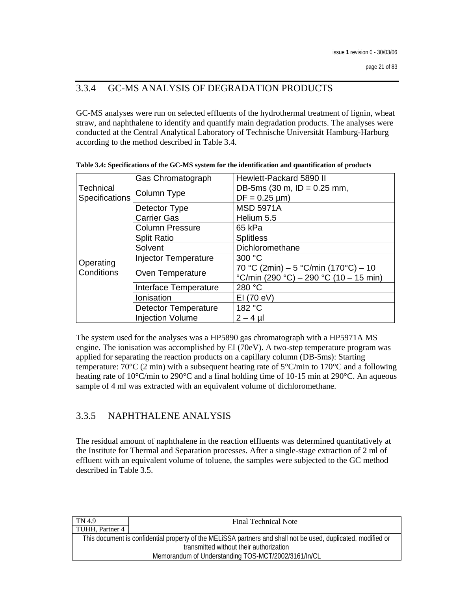page 21 of 83

### 3.3.4 GC-MS ANALYSIS OF DEGRADATION PRODUCTS

GC-MS analyses were run on selected effluents of the hydrothermal treatment of lignin, wheat straw, and naphthalene to identify and quantify main degradation products. The analyses were conducted at the Central Analytical Laboratory of Technische Universität Hamburg-Harburg according to the method described in Table 3.4.

|                         | Gas Chromatograph           | Hewlett-Packard 5890 II                  |  |  |
|-------------------------|-----------------------------|------------------------------------------|--|--|
| Technical               | Column Type                 | DB-5ms (30 m, $ID = 0.25$ mm,            |  |  |
| Specifications          |                             | $DF = 0.25 \mu m$                        |  |  |
|                         | Detector Type               | <b>MSD 5971A</b>                         |  |  |
|                         | <b>Carrier Gas</b>          | Helium 5.5                               |  |  |
|                         | <b>Column Pressure</b>      | 65 kPa                                   |  |  |
|                         | <b>Split Ratio</b>          | <b>Splitless</b>                         |  |  |
|                         | Solvent                     | Dichloromethane                          |  |  |
| Operating<br>Conditions | <b>Injector Temperature</b> | 300 °C                                   |  |  |
|                         | Oven Temperature            | 70 °C (2min) – 5 °C/min (170°C) – 10     |  |  |
|                         |                             | $°C/min (290 °C) - 290 °C (10 - 15 min)$ |  |  |
|                         | Interface Temperature       | 280 °C                                   |  |  |
|                         | Ionisation                  | EI(70 eV)                                |  |  |
|                         | <b>Detector Temperature</b> | 182 °C                                   |  |  |
|                         | <b>Injection Volume</b>     | $2 - 4$ µ                                |  |  |

|  |  | Table 3.4: Specifications of the GC-MS system for the identification and quantification of products |  |
|--|--|-----------------------------------------------------------------------------------------------------|--|
|  |  |                                                                                                     |  |

The system used for the analyses was a HP5890 gas chromatograph with a HP5971A MS engine. The ionisation was accomplished by EI (70eV). A two-step temperature program was applied for separating the reaction products on a capillary column (DB-5ms): Starting temperature:  $70^{\circ}$ C (2 min) with a subsequent heating rate of  $5^{\circ}$ C/min to 170 $^{\circ}$ C and a following heating rate of  $10^{\circ}$ C/min to 290°C and a final holding time of 10-15 min at 290°C. An aqueous sample of 4 ml was extracted with an equivalent volume of dichloromethane.

#### 3.3.5 NAPHTHALENE ANALYSIS

The residual amount of naphthalene in the reaction effluents was determined quantitatively at the Institute for Thermal and Separation processes. After a single-stage extraction of 2 ml of effluent with an equivalent volume of toluene, the samples were subjected to the GC method described in Table 3.5.

| TN 4.9                                                                                                        | <b>Final Technical Note</b>             |  |  |
|---------------------------------------------------------------------------------------------------------------|-----------------------------------------|--|--|
| TUHH, Partner 4                                                                                               |                                         |  |  |
| This document is confidential property of the MELISSA partners and shall not be used, duplicated, modified or |                                         |  |  |
|                                                                                                               | transmitted without their authorization |  |  |
| Memorandum of Understanding TOS-MCT/2002/3161/In/CL                                                           |                                         |  |  |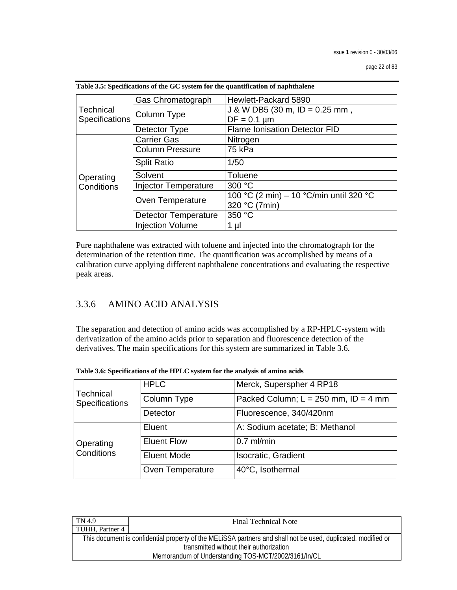| Table 3.5: Specifications of the GC system for the quantification of naphthalene |                             |                                                      |
|----------------------------------------------------------------------------------|-----------------------------|------------------------------------------------------|
| <b>Technical</b><br>Specifications                                               | Gas Chromatograph           | Hewlett-Packard 5890                                 |
|                                                                                  | Column Type                 | $J & W$ DB5 (30 m, ID = 0.25 mm,<br>$DF = 0.1 \mu m$ |
|                                                                                  | Detector Type               | <b>Flame Ionisation Detector FID</b>                 |
| Operating<br>Conditions                                                          | <b>Carrier Gas</b>          | Nitrogen                                             |
|                                                                                  | <b>Column Pressure</b>      | <b>75 kPa</b>                                        |
|                                                                                  | <b>Split Ratio</b>          | 1/50                                                 |
|                                                                                  | Solvent                     | Toluene                                              |
|                                                                                  | <b>Injector Temperature</b> | 300 °C                                               |
|                                                                                  | Oven Temperature            | 100 °C (2 min) – 10 °C/min until 320 °C              |
|                                                                                  |                             | 320 °C (7min)                                        |
|                                                                                  | <b>Detector Temperature</b> | 350 °C                                               |
|                                                                                  | <b>Injection Volume</b>     | 1 µl                                                 |

Pure naphthalene was extracted with toluene and injected into the chromatograph for the determination of the retention time. The quantification was accomplished by means of a calibration curve applying different naphthalene concentrations and evaluating the respective peak areas.

#### 3.3.6 AMINO ACID ANALYSIS

The separation and detection of amino acids was accomplished by a RP-HPLC-system with derivatization of the amino acids prior to separation and fluorescence detection of the derivatives. The main specifications for this system are summarized in Table 3.6.

| Technical      | <b>HPLC</b>        | Merck, Superspher 4 RP18                 |
|----------------|--------------------|------------------------------------------|
| Specifications | Column Type        | Packed Column; $L = 250$ mm, $ID = 4$ mm |
|                | Detector           | Fluorescence, 340/420nm                  |
|                | Eluent             | A: Sodium acetate; B: Methanol           |
| Operating      | <b>Eluent Flow</b> | $0.7$ ml/min                             |
| Conditions     | <b>Eluent Mode</b> | <b>Isocratic, Gradient</b>               |
|                | Oven Temperature   | 40°C, Isothermal                         |

**Table 3.6: Specifications of the HPLC system for the analysis of amino acids** 

| TN 4.9                                                                                                        | Final Technical Note |
|---------------------------------------------------------------------------------------------------------------|----------------------|
| TUHH. Partner 4                                                                                               |                      |
| This document is confidential property of the MELISSA partners and shall not be used, duplicated, modified or |                      |
| transmitted without their authorization                                                                       |                      |
| Memorandum of Understanding TOS-MCT/2002/3161/In/CL                                                           |                      |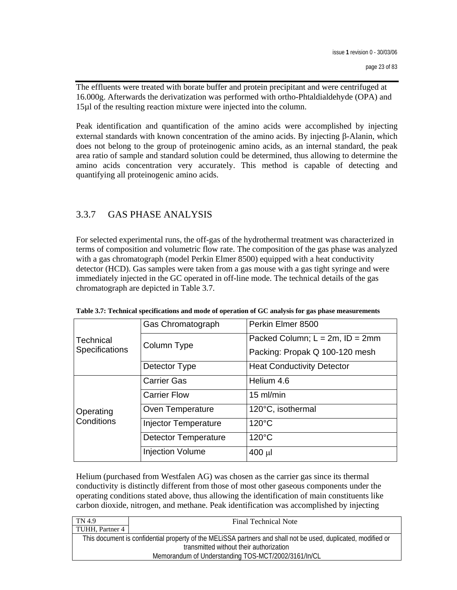The effluents were treated with borate buffer and protein precipitant and were centrifuged at 16.000g. Afterwards the derivatization was performed with ortho-Phtaldialdehyde (OPA) and 15µl of the resulting reaction mixture were injected into the column.

Peak identification and quantification of the amino acids were accomplished by injecting external standards with known concentration of the amino acids. By injecting β-Alanin, which does not belong to the group of proteinogenic amino acids, as an internal standard, the peak area ratio of sample and standard solution could be determined, thus allowing to determine the amino acids concentration very accurately. This method is capable of detecting and quantifying all proteinogenic amino acids.

#### 3.3.7 GAS PHASE ANALYSIS

For selected experimental runs, the off-gas of the hydrothermal treatment was characterized in terms of composition and volumetric flow rate. The composition of the gas phase was analyzed with a gas chromatograph (model Perkin Elmer 8500) equipped with a heat conductivity detector (HCD). Gas samples were taken from a gas mouse with a gas tight syringe and were immediately injected in the GC operated in off-line mode. The technical details of the gas chromatograph are depicted in Table 3.7.

|                       | Gas Chromatograph           | Perkin Elmer 8500                    |
|-----------------------|-----------------------------|--------------------------------------|
| <b>Technical</b>      | Column Type                 | Packed Column; $L = 2m$ , $ID = 2mm$ |
| <b>Specifications</b> |                             | Packing: Propak Q 100-120 mesh       |
|                       | Detector Type               | <b>Heat Conductivity Detector</b>    |
|                       | <b>Carrier Gas</b>          | Helium 4.6                           |
|                       | <b>Carrier Flow</b>         | $15$ ml/min                          |
| Operating             | Oven Temperature            | 120°C, isothermal                    |
| Conditions            | Injector Temperature        | $120^{\circ}$ C                      |
|                       | <b>Detector Temperature</b> | $120^{\circ}$ C                      |
|                       | <b>Injection Volume</b>     | $400 \mu$                            |

**Table 3.7: Technical specifications and mode of operation of GC analysis for gas phase measurements** 

Helium (purchased from Westfalen AG) was chosen as the carrier gas since its thermal conductivity is distinctly different from those of most other gaseous components under the operating conditions stated above, thus allowing the identification of main constituents like carbon dioxide, nitrogen, and methane. Peak identification was accomplished by injecting

| TN 4.9                                                                                                        | <b>Final Technical Note</b> |
|---------------------------------------------------------------------------------------------------------------|-----------------------------|
| TUHH, Partner 4                                                                                               |                             |
| This document is confidential property of the MELISSA partners and shall not be used, duplicated, modified or |                             |
| transmitted without their authorization                                                                       |                             |
| Memorandum of Understanding TOS-MCT/2002/3161/In/CL                                                           |                             |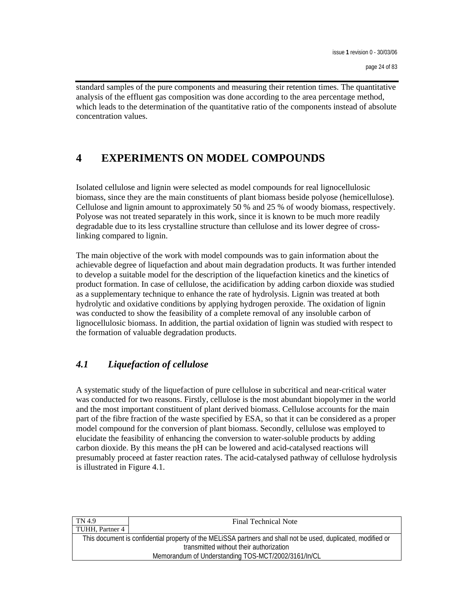standard samples of the pure components and measuring their retention times. The quantitative analysis of the effluent gas composition was done according to the area percentage method, which leads to the determination of the quantitative ratio of the components instead of absolute concentration values.

## **4 EXPERIMENTS ON MODEL COMPOUNDS**

Isolated cellulose and lignin were selected as model compounds for real lignocellulosic biomass, since they are the main constituents of plant biomass beside polyose (hemicellulose). Cellulose and lignin amount to approximately 50 % and 25 % of woody biomass, respectively. Polyose was not treated separately in this work, since it is known to be much more readily degradable due to its less crystalline structure than cellulose and its lower degree of crosslinking compared to lignin.

The main objective of the work with model compounds was to gain information about the achievable degree of liquefaction and about main degradation products. It was further intended to develop a suitable model for the description of the liquefaction kinetics and the kinetics of product formation. In case of cellulose, the acidification by adding carbon dioxide was studied as a supplementary technique to enhance the rate of hydrolysis. Lignin was treated at both hydrolytic and oxidative conditions by applying hydrogen peroxide. The oxidation of lignin was conducted to show the feasibility of a complete removal of any insoluble carbon of lignocellulosic biomass. In addition, the partial oxidation of lignin was studied with respect to the formation of valuable degradation products.

### *4.1 Liquefaction of cellulose*

A systematic study of the liquefaction of pure cellulose in subcritical and near-critical water was conducted for two reasons. Firstly, cellulose is the most abundant biopolymer in the world and the most important constituent of plant derived biomass. Cellulose accounts for the main part of the fibre fraction of the waste specified by ESA, so that it can be considered as a proper model compound for the conversion of plant biomass. Secondly, cellulose was employed to elucidate the feasibility of enhancing the conversion to water-soluble products by adding carbon dioxide. By this means the pH can be lowered and acid-catalysed reactions will presumably proceed at faster reaction rates. The acid-catalysed pathway of cellulose hydrolysis is illustrated in Figure 4.1.

| TN 4.9                                                                                                        | Final Technical Note |
|---------------------------------------------------------------------------------------------------------------|----------------------|
| TUHH. Partner 4                                                                                               |                      |
| This document is confidential property of the MELISSA partners and shall not be used, duplicated, modified or |                      |
| transmitted without their authorization                                                                       |                      |
| Memorandum of Understanding TOS-MCT/2002/3161/In/CL                                                           |                      |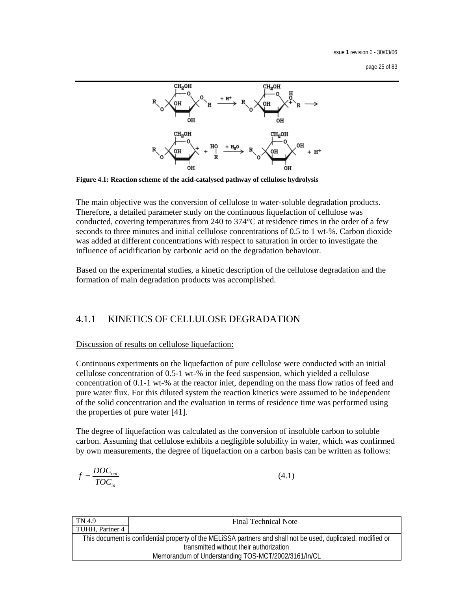issue **1** revision 0 - 30/03/06

page 25 of 83



**Figure 4.1: Reaction scheme of the acid-catalysed pathway of cellulose hydrolysis** 

The main objective was the conversion of cellulose to water-soluble degradation products. Therefore, a detailed parameter study on the continuous liquefaction of cellulose was conducted, covering temperatures from 240 to 374°C at residence times in the order of a few seconds to three minutes and initial cellulose concentrations of 0.5 to 1 wt-%. Carbon dioxide was added at different concentrations with respect to saturation in order to investigate the influence of acidification by carbonic acid on the degradation behaviour.

Based on the experimental studies, a kinetic description of the cellulose degradation and the formation of main degradation products was accomplished.

#### 4.1.1 KINETICS OF CELLULOSE DEGRADATION

#### Discussion of results on cellulose liquefaction:

Continuous experiments on the liquefaction of pure cellulose were conducted with an initial cellulose concentration of 0.5-1 wt-% in the feed suspension, which yielded a cellulose concentration of 0.1-1 wt-% at the reactor inlet, depending on the mass flow ratios of feed and pure water flux. For this diluted system the reaction kinetics were assumed to be independent of the solid concentration and the evaluation in terms of residence time was performed using the properties of pure water [41].

The degree of liquefaction was calculated as the conversion of insoluble carbon to soluble carbon. Assuming that cellulose exhibits a negligible solubility in water, which was confirmed by own measurements, the degree of liquefaction on a carbon basis can be written as follows:

$$
f = \frac{DOC_{out}}{TOC_{in}} \tag{4.1}
$$

| TN 4.9                                                                                                        | Final Technical Note |
|---------------------------------------------------------------------------------------------------------------|----------------------|
| TUHH, Partner 4                                                                                               |                      |
| This document is confidential property of the MELISSA partners and shall not be used, duplicated, modified or |                      |
| transmitted without their authorization                                                                       |                      |
| Memorandum of Understanding TOS-MCT/2002/3161/In/CL                                                           |                      |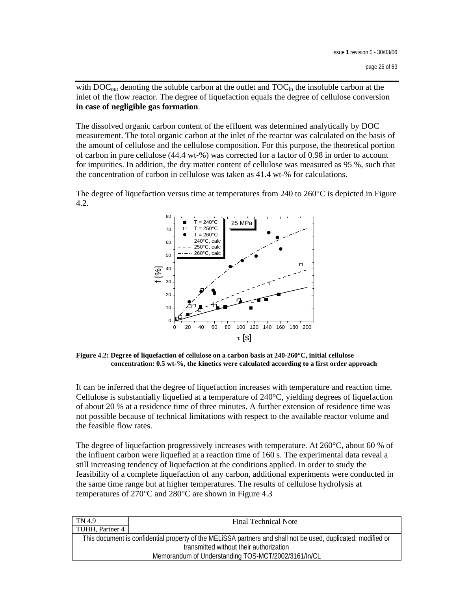with  $DOC_{out}$  denoting the soluble carbon at the outlet and  $TOC_{in}$  the insoluble carbon at the inlet of the flow reactor. The degree of liquefaction equals the degree of cellulose conversion **in case of negligible gas formation**.

The dissolved organic carbon content of the effluent was determined analytically by DOC measurement. The total organic carbon at the inlet of the reactor was calculated on the basis of the amount of cellulose and the cellulose composition. For this purpose, the theoretical portion of carbon in pure cellulose (44.4 wt-%) was corrected for a factor of 0.98 in order to account for impurities. In addition, the dry matter content of cellulose was measured as 95 %, such that the concentration of carbon in cellulose was taken as 41.4 wt-% for calculations.

The degree of liquefaction versus time at temperatures from 240 to  $260^{\circ}$ C is depicted in Figure 4.2.



**Figure 4.2: Degree of liquefaction of cellulose on a carbon basis at 240-260°C, initial cellulose concentration: 0.5 wt-%, the kinetics were calculated according to a first order approach** 

It can be inferred that the degree of liquefaction increases with temperature and reaction time. Cellulose is substantially liquefied at a temperature of  $240^{\circ}$ C, yielding degrees of liquefaction of about 20 % at a residence time of three minutes. A further extension of residence time was not possible because of technical limitations with respect to the available reactor volume and the feasible flow rates.

The degree of liquefaction progressively increases with temperature. At 260°C, about 60 % of the influent carbon were liquefied at a reaction time of 160 s. The experimental data reveal a still increasing tendency of liquefaction at the conditions applied. In order to study the feasibility of a complete liquefaction of any carbon, additional experiments were conducted in the same time range but at higher temperatures. The results of cellulose hydrolysis at temperatures of 270°C and 280°C are shown in Figure 4.3

| TN 4.9                                                                                                        | <b>Final Technical Note</b> |
|---------------------------------------------------------------------------------------------------------------|-----------------------------|
| TUHH, Partner 4                                                                                               |                             |
| This document is confidential property of the MELISSA partners and shall not be used, duplicated, modified or |                             |
| transmitted without their authorization                                                                       |                             |
| Memorandum of Understanding TOS-MCT/2002/3161/In/CL                                                           |                             |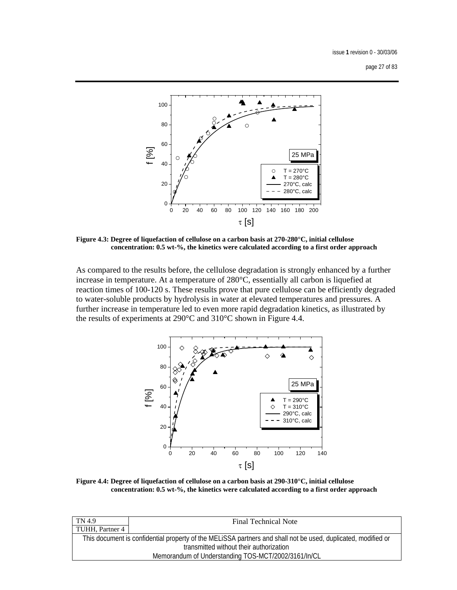page 27 of 83



**Figure 4.3: Degree of liquefaction of cellulose on a carbon basis at 270-280°C, initial cellulose concentration: 0.5 wt-%, the kinetics were calculated according to a first order approach** 

As compared to the results before, the cellulose degradation is strongly enhanced by a further increase in temperature. At a temperature of 280°C, essentially all carbon is liquefied at reaction times of 100-120 s. These results prove that pure cellulose can be efficiently degraded to water-soluble products by hydrolysis in water at elevated temperatures and pressures. A further increase in temperature led to even more rapid degradation kinetics, as illustrated by the results of experiments at 290°C and 310°C shown in Figure 4.4.



**Figure 4.4: Degree of liquefaction of cellulose on a carbon basis at 290-310°C, initial cellulose concentration: 0.5 wt-%, the kinetics were calculated according to a first order approach** 

| TN 4.9                                                                                                        | Final Technical Note |
|---------------------------------------------------------------------------------------------------------------|----------------------|
| TUHH, Partner 4                                                                                               |                      |
| This document is confidential property of the MELISSA partners and shall not be used, duplicated, modified or |                      |
| transmitted without their authorization                                                                       |                      |
| Memorandum of Understanding TOS-MCT/2002/3161/In/CL                                                           |                      |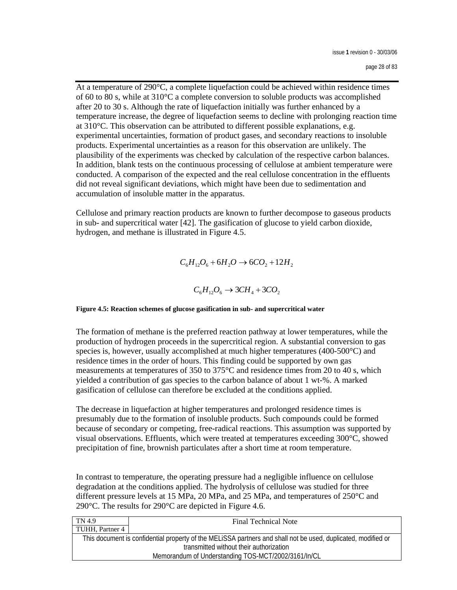At a temperature of 290°C, a complete liquefaction could be achieved within residence times of 60 to 80 s, while at 310°C a complete conversion to soluble products was accomplished after 20 to 30 s. Although the rate of liquefaction initially was further enhanced by a temperature increase, the degree of liquefaction seems to decline with prolonging reaction time at 310°C. This observation can be attributed to different possible explanations, e.g. experimental uncertainties, formation of product gases, and secondary reactions to insoluble products. Experimental uncertainties as a reason for this observation are unlikely. The plausibility of the experiments was checked by calculation of the respective carbon balances. In addition, blank tests on the continuous processing of cellulose at ambient temperature were conducted. A comparison of the expected and the real cellulose concentration in the effluents did not reveal significant deviations, which might have been due to sedimentation and accumulation of insoluble matter in the apparatus.

Cellulose and primary reaction products are known to further decompose to gaseous products in sub- and supercritical water [42]. The gasification of glucose to yield carbon dioxide, hydrogen, and methane is illustrated in Figure 4.5.

 $C_6H_{12}O_6 + 6H_2O \rightarrow 6CO_2 +12H_2$ 

 $C_6H_1_2O_6 \rightarrow 3CH_4 + 3CO_2$ 

#### **Figure 4.5: Reaction schemes of glucose gasification in sub- and supercritical water**

The formation of methane is the preferred reaction pathway at lower temperatures, while the production of hydrogen proceeds in the supercritical region. A substantial conversion to gas species is, however, usually accomplished at much higher temperatures  $(400-500^{\circ}C)$  and residence times in the order of hours. This finding could be supported by own gas measurements at temperatures of 350 to 375°C and residence times from 20 to 40 s, which yielded a contribution of gas species to the carbon balance of about 1 wt-%. A marked gasification of cellulose can therefore be excluded at the conditions applied.

The decrease in liquefaction at higher temperatures and prolonged residence times is presumably due to the formation of insoluble products. Such compounds could be formed because of secondary or competing, free-radical reactions. This assumption was supported by visual observations. Effluents, which were treated at temperatures exceeding 300°C, showed precipitation of fine, brownish particulates after a short time at room temperature.

In contrast to temperature, the operating pressure had a negligible influence on cellulose degradation at the conditions applied. The hydrolysis of cellulose was studied for three different pressure levels at 15 MPa, 20 MPa, and 25 MPa, and temperatures of 250°C and 290 $^{\circ}$ C. The results for 290 $^{\circ}$ C are depicted in Figure 4.6.

| TN 4.9                                                                                                        | Final Technical Note |
|---------------------------------------------------------------------------------------------------------------|----------------------|
| TUHH, Partner 4                                                                                               |                      |
| This document is confidential property of the MELISSA partners and shall not be used, duplicated, modified or |                      |
| transmitted without their authorization                                                                       |                      |
| Memorandum of Understanding TOS-MCT/2002/3161/In/CL                                                           |                      |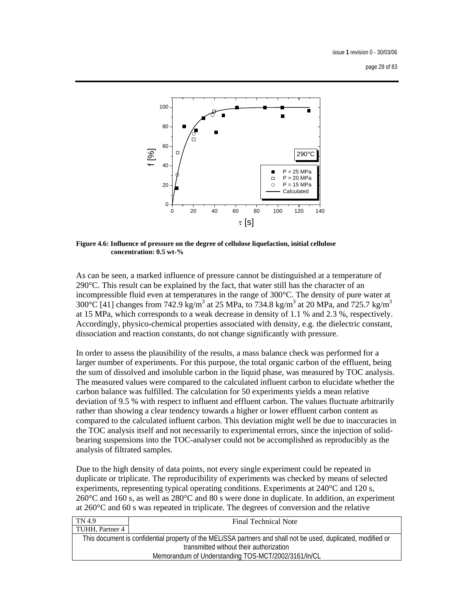page 29 of 83



**Figure 4.6: Influence of pressure on the degree of cellulose liquefaction, initial cellulose concentration: 0.5 wt-%** 

As can be seen, a marked influence of pressure cannot be distinguished at a temperature of  $290^{\circ}$ C. This result can be explained by the fact, that water still has the character of an incompressible fluid even at temperatures in the range of 300°C. The density of pure water at 300°C [41] changes from 742.9 kg/m<sup>3</sup> at 25 MPa, to 734.8 kg/m<sup>3</sup> at 20 MPa, and 725.7 kg/m<sup>3</sup> at 15 MPa, which corresponds to a weak decrease in density of 1.1 % and 2.3 %, respectively. Accordingly, physico-chemical properties associated with density, e.g. the dielectric constant, dissociation and reaction constants, do not change significantly with pressure.

In order to assess the plausibility of the results, a mass balance check was performed for a larger number of experiments. For this purpose, the total organic carbon of the effluent, being the sum of dissolved and insoluble carbon in the liquid phase, was measured by TOC analysis. The measured values were compared to the calculated influent carbon to elucidate whether the carbon balance was fulfilled. The calculation for 50 experiments yields a mean relative deviation of 9.5 % with respect to influent and effluent carbon. The values fluctuate arbitrarily rather than showing a clear tendency towards a higher or lower effluent carbon content as compared to the calculated influent carbon. This deviation might well be due to inaccuracies in the TOC analysis itself and not necessarily to experimental errors, since the injection of solidbearing suspensions into the TOC-analyser could not be accomplished as reproducibly as the analysis of filtrated samples.

Due to the high density of data points, not every single experiment could be repeated in duplicate or triplicate. The reproducibility of experiments was checked by means of selected experiments, representing typical operating conditions. Experiments at 240°C and 120 s,  $260^{\circ}$ C and 160 s, as well as  $280^{\circ}$ C and 80 s were done in duplicate. In addition, an experiment at 260°C and 60 s was repeated in triplicate. The degrees of conversion and the relative

| TN 4.9                                                                                                        | <b>Final Technical Note</b> |
|---------------------------------------------------------------------------------------------------------------|-----------------------------|
| TUHH. Partner 4                                                                                               |                             |
| This document is confidential property of the MELISSA partners and shall not be used, duplicated, modified or |                             |
| transmitted without their authorization                                                                       |                             |
| Memorandum of Understanding TOS-MCT/2002/3161/In/CL                                                           |                             |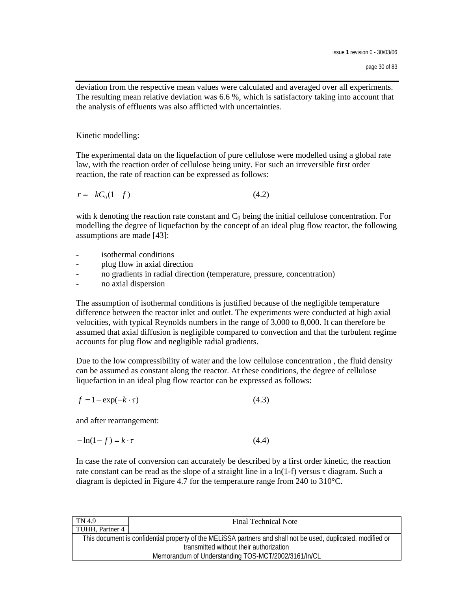deviation from the respective mean values were calculated and averaged over all experiments. The resulting mean relative deviation was 6.6 %, which is satisfactory taking into account that the analysis of effluents was also afflicted with uncertainties.

Kinetic modelling:

The experimental data on the liquefaction of pure cellulose were modelled using a global rate law, with the reaction order of cellulose being unity. For such an irreversible first order reaction, the rate of reaction can be expressed as follows:

 $r = -kC_0(1-f)$  (4.2)

with k denoting the reaction rate constant and  $C_0$  being the initial cellulose concentration. For modelling the degree of liquefaction by the concept of an ideal plug flow reactor, the following assumptions are made [43]:

- isothermal conditions
- plug flow in axial direction
- no gradients in radial direction (temperature, pressure, concentration)
- no axial dispersion

The assumption of isothermal conditions is justified because of the negligible temperature difference between the reactor inlet and outlet. The experiments were conducted at high axial velocities, with typical Reynolds numbers in the range of 3,000 to 8,000. It can therefore be assumed that axial diffusion is negligible compared to convection and that the turbulent regime accounts for plug flow and negligible radial gradients.

Due to the low compressibility of water and the low cellulose concentration , the fluid density can be assumed as constant along the reactor. At these conditions, the degree of cellulose liquefaction in an ideal plug flow reactor can be expressed as follows:

$$
f = 1 - \exp(-k \cdot \tau) \tag{4.3}
$$

and after rearrangement:

$$
-\ln(1-f) = k \cdot \tau \tag{4.4}
$$

In case the rate of conversion can accurately be described by a first order kinetic, the reaction rate constant can be read as the slope of a straight line in a  $ln(1-f)$  versus  $\tau$  diagram. Such a diagram is depicted in Figure 4.7 for the temperature range from 240 to 310°C.

| TN 4.9                                                                                                        | <b>Final Technical Note</b> |  |
|---------------------------------------------------------------------------------------------------------------|-----------------------------|--|
| TUHH, Partner 4                                                                                               |                             |  |
| This document is confidential property of the MELISSA partners and shall not be used, duplicated, modified or |                             |  |
| transmitted without their authorization                                                                       |                             |  |
| Memorandum of Understanding TOS-MCT/2002/3161/In/CL                                                           |                             |  |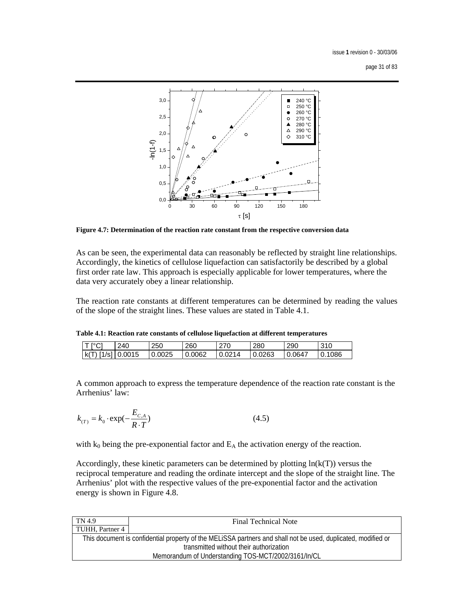issue **1** revision 0 - 30/03/06

page 31 of 83



**Figure 4.7: Determination of the reaction rate constant from the respective conversion data** 

As can be seen, the experimental data can reasonably be reflected by straight line relationships. Accordingly, the kinetics of cellulose liquefaction can satisfactorily be described by a global first order rate law. This approach is especially applicable for lower temperatures, where the data very accurately obey a linear relationship.

The reaction rate constants at different temperatures can be determined by reading the values of the slope of the straight lines. These values are stated in Table 4.1.

| Table 4.1: Reaction rate constants of cellulose liquefaction at different temperatures |  |
|----------------------------------------------------------------------------------------|--|
|----------------------------------------------------------------------------------------|--|

| T [°C]            | 240 | 250    | 260    | 270    | 28C    | 290    | 310    |
|-------------------|-----|--------|--------|--------|--------|--------|--------|
| k(T) [1/s] 0.0015 |     | 0.0025 | 0.0062 | 0.0214 | 0.0263 | 0.0647 | 0.1086 |

A common approach to express the temperature dependence of the reaction rate constant is the Arrhenius' law:

$$
k_{(T)} = k_0 \cdot \exp(-\frac{E_{C,A}}{R \cdot T})
$$
\n(4.5)

with  $k_0$  being the pre-exponential factor and  $E_A$  the activation energy of the reaction.

Accordingly, these kinetic parameters can be determined by plotting  $ln(k(T))$  versus the reciprocal temperature and reading the ordinate intercept and the slope of the straight line. The Arrhenius' plot with the respective values of the pre-exponential factor and the activation energy is shown in Figure 4.8.

| TN 4.9                                                                                                        | <b>Final Technical Note</b> |  |  |  |  |  |
|---------------------------------------------------------------------------------------------------------------|-----------------------------|--|--|--|--|--|
| TUHH, Partner 4                                                                                               |                             |  |  |  |  |  |
| This document is confidential property of the MELISSA partners and shall not be used, duplicated, modified or |                             |  |  |  |  |  |
| transmitted without their authorization                                                                       |                             |  |  |  |  |  |
| Memorandum of Understanding TOS-MCT/2002/3161/In/CL                                                           |                             |  |  |  |  |  |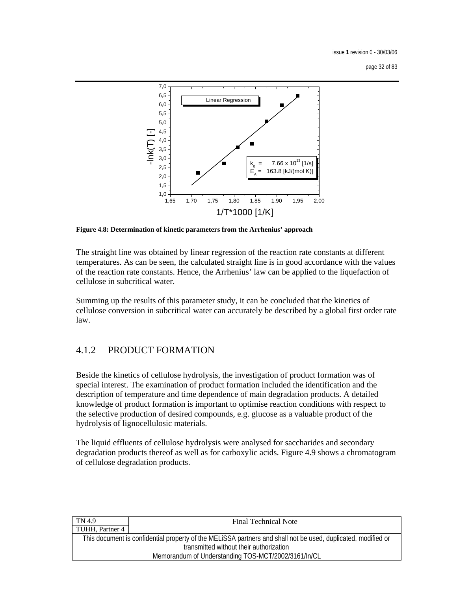page 32 of 83



**Figure 4.8: Determination of kinetic parameters from the Arrhenius' approach** 

The straight line was obtained by linear regression of the reaction rate constants at different temperatures. As can be seen, the calculated straight line is in good accordance with the values of the reaction rate constants. Hence, the Arrhenius' law can be applied to the liquefaction of cellulose in subcritical water.

Summing up the results of this parameter study, it can be concluded that the kinetics of cellulose conversion in subcritical water can accurately be described by a global first order rate law.

## 4.1.2 PRODUCT FORMATION

Beside the kinetics of cellulose hydrolysis, the investigation of product formation was of special interest. The examination of product formation included the identification and the description of temperature and time dependence of main degradation products. A detailed knowledge of product formation is important to optimise reaction conditions with respect to the selective production of desired compounds, e.g. glucose as a valuable product of the hydrolysis of lignocellulosic materials.

The liquid effluents of cellulose hydrolysis were analysed for saccharides and secondary degradation products thereof as well as for carboxylic acids. Figure 4.9 shows a chromatogram of cellulose degradation products.

| TN 4.9                                                                                                        | Final Technical Note |
|---------------------------------------------------------------------------------------------------------------|----------------------|
| TUHH, Partner 4                                                                                               |                      |
| This document is confidential property of the MELISSA partners and shall not be used, duplicated, modified or |                      |
| transmitted without their authorization                                                                       |                      |
| Memorandum of Understanding TOS-MCT/2002/3161/In/CL                                                           |                      |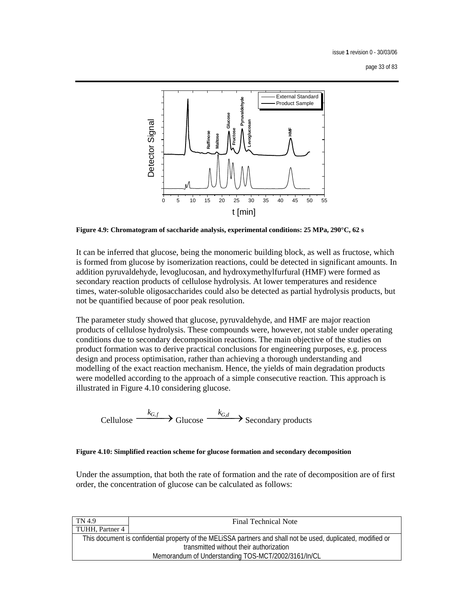page 33 of 83



**Figure 4.9: Chromatogram of saccharide analysis, experimental conditions: 25 MPa, 290°C, 62 s** 

It can be inferred that glucose, being the monomeric building block, as well as fructose, which is formed from glucose by isomerization reactions, could be detected in significant amounts. In addition pyruvaldehyde, levoglucosan, and hydroxymethylfurfural (HMF) were formed as secondary reaction products of cellulose hydrolysis. At lower temperatures and residence times, water-soluble oligosaccharides could also be detected as partial hydrolysis products, but not be quantified because of poor peak resolution.

The parameter study showed that glucose, pyruvaldehyde, and HMF are major reaction products of cellulose hydrolysis. These compounds were, however, not stable under operating conditions due to secondary decomposition reactions. The main objective of the studies on product formation was to derive practical conclusions for engineering purposes, e.g. process design and process optimisation, rather than achieving a thorough understanding and modelling of the exact reaction mechanism. Hence, the yields of main degradation products were modelled according to the approach of a simple consecutive reaction. This approach is illustrated in Figure 4.10 considering glucose.

$$
\text{Cellulose} \xrightarrow{k_{G,f}} \text{Glucose} \xrightarrow{k_{G,d}} \text{Secondary products}
$$

## **Figure 4.10: Simplified reaction scheme for glucose formation and secondary decomposition**

Under the assumption, that both the rate of formation and the rate of decomposition are of first order, the concentration of glucose can be calculated as follows:

| TN 4.9                                                                                                        | Final Technical Note |
|---------------------------------------------------------------------------------------------------------------|----------------------|
| TUHH, Partner 4                                                                                               |                      |
| This document is confidential property of the MELISSA partners and shall not be used, duplicated, modified or |                      |
| transmitted without their authorization                                                                       |                      |
| Memorandum of Understanding TOS-MCT/2002/3161/In/CL                                                           |                      |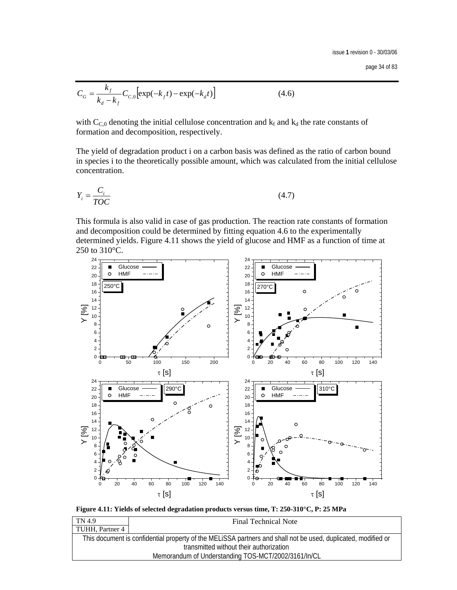$$
C_G = \frac{k_f}{k_d - k_f} C_{c,0} \left[ \exp(-k_f t) - \exp(-k_d t) \right]
$$
 (4.6)

with  $C_{C,0}$  denoting the initial cellulose concentration and  $k_f$  and  $k_d$  the rate constants of formation and decomposition, respectively.

The yield of degradation product i on a carbon basis was defined as the ratio of carbon bound in species i to the theoretically possible amount, which was calculated from the initial cellulose concentration.

$$
Y_i = \frac{C_i}{TOC} \tag{4.7}
$$

This formula is also valid in case of gas production. The reaction rate constants of formation and decomposition could be determined by fitting equation 4.6 to the experimentally determined yields. Figure 4.11 shows the yield of glucose and HMF as a function of time at 250 to 310°C.





| TN 4.9                                                                                                        | Final Technical Note |  |
|---------------------------------------------------------------------------------------------------------------|----------------------|--|
| TUHH, Partner 4                                                                                               |                      |  |
| This document is confidential property of the MELISSA partners and shall not be used, duplicated, modified or |                      |  |
| transmitted without their authorization                                                                       |                      |  |
| Memorandum of Understanding TOS-MCT/2002/3161/In/CL                                                           |                      |  |